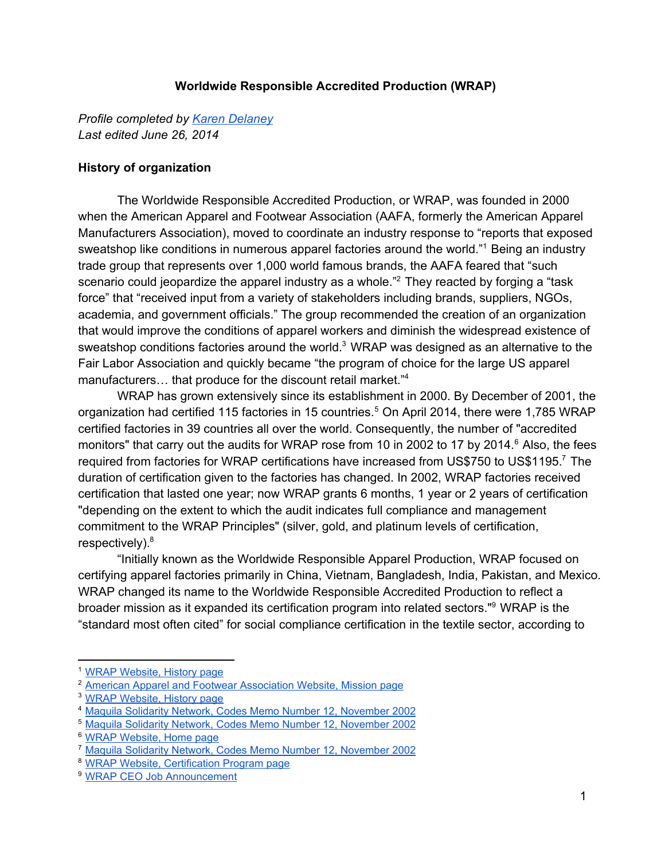#### **Worldwide Responsible Accredited Production (WRAP)**

*Profile completed by Karen [Delaney](mailto:kakadelaney@hotmail.com) Last edited June 26, 2014*

### **History of organization**

The Worldwide Responsible Accredited Production, or WRAP, was founded in 2000 when the American Apparel and Footwear Association (AAFA, formerly the American Apparel Manufacturers Association), moved to coordinate an industry response to "reports that exposed sweatshop like conditions in numerous apparel factories around the world."<sup>1</sup> Being an industry trade group that represents over 1,000 world famous brands, the AAFA feared that "such scenario could jeopardize the apparel industry as a whole."<sup>2</sup> They reacted by forging a "task force" that "received input from a variety of stakeholders including brands, suppliers, NGOs, academia, and government officials." The group recommended the creation of an organization that would improve the conditions of apparel workers and diminish the widespread existence of sweatshop conditions factories around the world. $3 \text{ WRAP}$  was designed as an alternative to the Fair Labor Association and quickly became "the program of choice for the large US apparel manufacturers... that produce for the discount retail market."<sup>4</sup>

WRAP has grown extensively since its establishment in 2000. By December of 2001, the organization had certified 115 factories in 15 countries.<sup>5</sup> On April 2014, there were 1,785 WRAP certified factories in 39 countries all over the world. Consequently, the number of "accredited monitors" that carry out the audits for WRAP rose from 10 in 2002 to 17 by 2014.<sup>6</sup> Also, the fees required from factories for WRAP certifications have increased from US\$750 to US\$1195.<sup>7</sup> The duration of certification given to the factories has changed. In 2002, WRAP factories received certification that lasted one year; now WRAP grants 6 months, 1 year or 2 years of certification "depending on the extent to which the audit indicates full compliance and management commitment to the WRAP Principles" (silver, gold, and platinum levels of certification, respectively).<sup>8</sup>

"Initially known as the Worldwide Responsible Apparel Production, WRAP focused on certifying apparel factories primarily in China, Vietnam, Bangladesh, India, Pakistan, and Mexico. WRAP changed its name to the Worldwide Responsible Accredited Production to reflect a broader mission as it expanded its certification program into related sectors."<sup>9</sup> WRAP is the "standard most often cited" for social compliance certification in the textile sector, according to

<sup>1</sup> WRAP [Website,](http://www.google.com/url?q=http%3A%2F%2Fwww.wrapcompliance.org%2Fen%2Fhistory&sa=D&sntz=1&usg=AFQjCNHp2QSxTInTM41VN_89tZ0la0Lm8A) History page

<sup>2</sup> American Apparel and Footwear [Association](https://www.google.com/url?q=https%3A%2F%2Fwww.wewear.org%2Fmission%2F&sa=D&sntz=1&usg=AFQjCNHlszCsfGk51VwJWh_Kz1szt8fdzA) Website, Mission page

<sup>3</sup> WRAP [Website,](http://www.google.com/url?q=http%3A%2F%2Fwww.wrapcompliance.org%2Fen%2Fhistory&sa=D&sntz=1&usg=AFQjCNHp2QSxTInTM41VN_89tZ0la0Lm8A) History page

<sup>4</sup> Maquila Solidarity Network, Codes Memo Number 12, [November](http://www.google.com/url?q=http%3A%2F%2Fen.maquilasolidarity.org%2Fsites%2Fmaquilasolidarity.org%2Ffiles%2Fcodesmemo12_0.PDF&sa=D&sntz=1&usg=AFQjCNGWa-gpaK3uyE8mLS0RXsUEwHMuzQ) 2002

<sup>5</sup> Maquila Solidarity Network, Codes Memo Number 12, [November](http://www.google.com/url?q=http%3A%2F%2Fen.maquilasolidarity.org%2Fsites%2Fmaquilasolidarity.org%2Ffiles%2Fcodesmemo12_0.PDF&sa=D&sntz=1&usg=AFQjCNGWa-gpaK3uyE8mLS0RXsUEwHMuzQ) 2002

<sup>6</sup> WRAP [Website,](http://www.google.com/url?q=http%3A%2F%2Fwww.wrapcompliance.org&sa=D&sntz=1&usg=AFQjCNExt_-FbsgllG0GmxGUZKhGDOQ7ow) Home page

<sup>7</sup> Maquila Solidarity Network, Codes Memo Number 12, [November](http://www.google.com/url?q=http%3A%2F%2Fen.maquilasolidarity.org%2Fsites%2Fmaquilasolidarity.org%2Ffiles%2Fcodesmemo12_0.PDF&sa=D&sntz=1&usg=AFQjCNGWa-gpaK3uyE8mLS0RXsUEwHMuzQ) 2002

<sup>8</sup> WRAP Website, [Certification](http://www.google.com/url?q=http%3A%2F%2Fwww.wrapcompliance.org%2Fen%2Fcertification&sa=D&sntz=1&usg=AFQjCNFCGnPu68jmOGgv37WstIEf49QHQQ) Program page

<sup>9</sup> WRAP CEO Job [Announcement](http://www.google.com/url?q=http%3A%2F%2Fwww.slesingermanagement.com%2Fannouncements%2FWRAP-CEO.pdf&sa=D&sntz=1&usg=AFQjCNEpBfVw2WTWSvWqFVxdBdmRA0OJTA)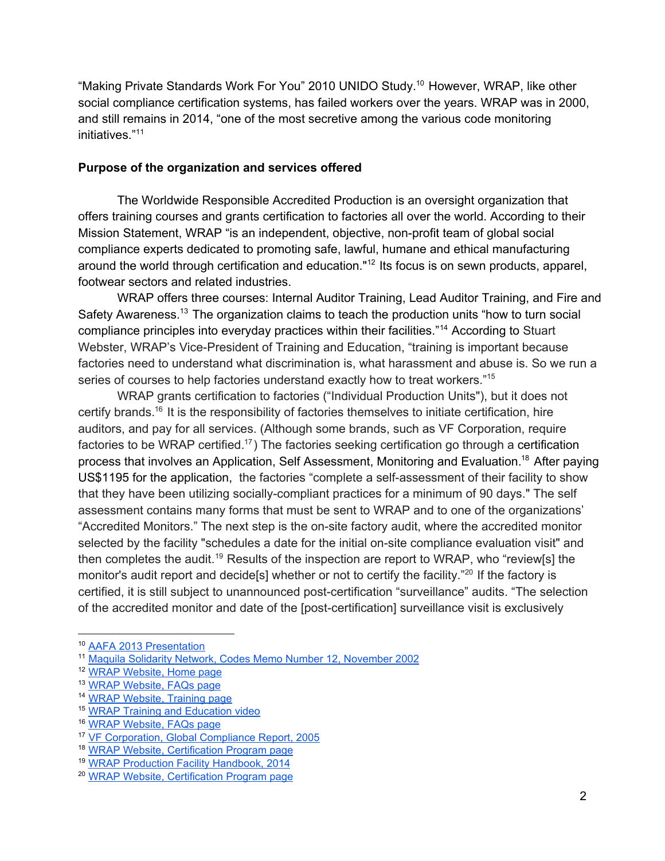"Making Private Standards Work For You" 2010 UNIDO Study.<sup>10</sup> However, WRAP, like other social compliance certification systems, has failed workers over the years. WRAP was in 2000, and still remains in 2014, "one of the most secretive among the various code monitoring initiatives." 11

# **Purpose of the organization and services offered**

The Worldwide Responsible Accredited Production is an oversight organization that offers training courses and grants certification to factories all over the world. According to their Mission Statement, WRAP "is an independent, objective, non-profit team of global social compliance experts dedicated to promoting safe, lawful, humane and ethical manufacturing around the world through certification and education."<sup>12</sup> Its focus is on sewn products, apparel, footwear sectors and related industries.

WRAP offers three courses: Internal Auditor Training, Lead Auditor Training, and Fire and Safety Awareness.<sup>13</sup> The organization claims to teach the production units "how to turn social compliance principles into everyday practices within their facilities."<sup>14</sup> According to Stuart Webster, WRAP's Vice-President of Training and Education, "training is important because factories need to understand what discrimination is, what harassment and abuse is. So we run a series of courses to help factories understand exactly how to treat workers."<sup>15</sup>

WRAP grants certification to factories ("Individual Production Units"), but it does not certify brands.<sup>16</sup> It is the responsibility of factories themselves to initiate certification, hire auditors, and pay for all services. (Although some brands, such as VF Corporation, require factories to be WRAP certified.<sup>17</sup>) The factories seeking certification go through a certification process that involves an Application, Self Assessment, Monitoring and Evaluation.<sup>18</sup> After paying US\$1195 for the application, the factories "complete a self-assessment of their facility to show that they have been utilizing socially-compliant practices for a minimum of 90 days." The self assessment contains many forms that must be sent to WRAP and to one of the organizations' "Accredited Monitors." The next step is the on-site factory audit, where the accredited monitor selected by the facility "schedules a date for the initial on-site compliance evaluation visit" and then completes the audit.<sup>19</sup> Results of the inspection are report to WRAP, who "review[s] the monitor's audit report and decide[s] whether or not to certify the facility."<sup>20</sup> If the factory is certified, it is still subject to unannounced post-certification "surveillance" audits. "The selection of the accredited monitor and date of the [post-certification] surveillance visit is exclusively

<sup>10</sup> AAFA 2013 [Presentation](https://www.google.com/url?q=https%3A%2F%2Fwww.wewear.org%2Fassets%2F1%2F7%2FRevised_Presentation_for_Dec_3_MetricStream_Webinar(v5)_(2)_FINAL.pdf&sa=D&sntz=1&usg=AFQjCNEQOyhXI_l6vWr0Wgz6Ze-rvqHqUQ)

<sup>11</sup> Maquila Solidarity Network, Codes Memo Number 12, [November](http://www.google.com/url?q=http%3A%2F%2Fen.maquilasolidarity.org%2Fsites%2Fmaquilasolidarity.org%2Ffiles%2Fcodesmemo12_0.PDF&sa=D&sntz=1&usg=AFQjCNGWa-gpaK3uyE8mLS0RXsUEwHMuzQ) 2002

<sup>12</sup> WRAP [Website,](http://www.google.com/url?q=http%3A%2F%2Fwww.wrapcompliance.org&sa=D&sntz=1&usg=AFQjCNExt_-FbsgllG0GmxGUZKhGDOQ7ow) Home page

<sup>13</sup> WRAP [Website,](http://www.google.com/url?q=http%3A%2F%2Fwww.wrapcompliance.org%2Fen%2Ffaqs&sa=D&sntz=1&usg=AFQjCNGpY5D3iUAVOWDJwsSU9wtJmdPG4g) FAQs page

<sup>14</sup> WRAP [Website,](http://www.google.com/url?q=http%3A%2F%2Fwww.wrapcompliance.org%2Fen%2Ftraining&sa=D&sntz=1&usg=AFQjCNFPk9-j91YONolsMBUtclb-rTX8yA) Training page

<sup>15</sup> WRAP Training and [Education](https://www.youtube.com/watch?v=GQQ-xLuDlis#t=85) video

<sup>16</sup> WRAP [Website,](http://www.google.com/url?q=http%3A%2F%2Fwww.wrapcompliance.org%2Fen%2Ffaqs&sa=D&sntz=1&usg=AFQjCNGpY5D3iUAVOWDJwsSU9wtJmdPG4g) FAQs page

<sup>17</sup> VF [Corporation,](http://www.google.com/url?q=http%3A%2F%2Fwww.vfc.com%2FVF%2Fcorporation%2Fresources%2Fimages%2FContent-Pages%2FCorporate-Responsibility%2FVFC_Glo_Compli_Report.pdf&sa=D&sntz=1&usg=AFQjCNE61TOjyVdLiZZoTox_GRAc5E9jNQ) Global Compliance Report, 2005

<sup>18</sup> WRAP Website, [Certification](http://www.google.com/url?q=http%3A%2F%2Fwww.wrapcompliance.org%2Fen%2Fcertification&sa=D&sntz=1&usg=AFQjCNFCGnPu68jmOGgv37WstIEf49QHQQ) Program page

<sup>19</sup> WRAP Production Facility [Handbook,](http://www.google.com/url?q=http%3A%2F%2Fwww.wrapcompliance.org%2Fdocuments%2F2014_Factory_Handbook_v2.pdf&sa=D&sntz=1&usg=AFQjCNFdRHemwbr-ctoBTWds5R_qYscS1Q) 2014

<sup>20</sup> WRAP Website, [Certification](http://www.google.com/url?q=http%3A%2F%2Fwww.wrapcompliance.org%2Fen%2Fcertification&sa=D&sntz=1&usg=AFQjCNFCGnPu68jmOGgv37WstIEf49QHQQ) Program page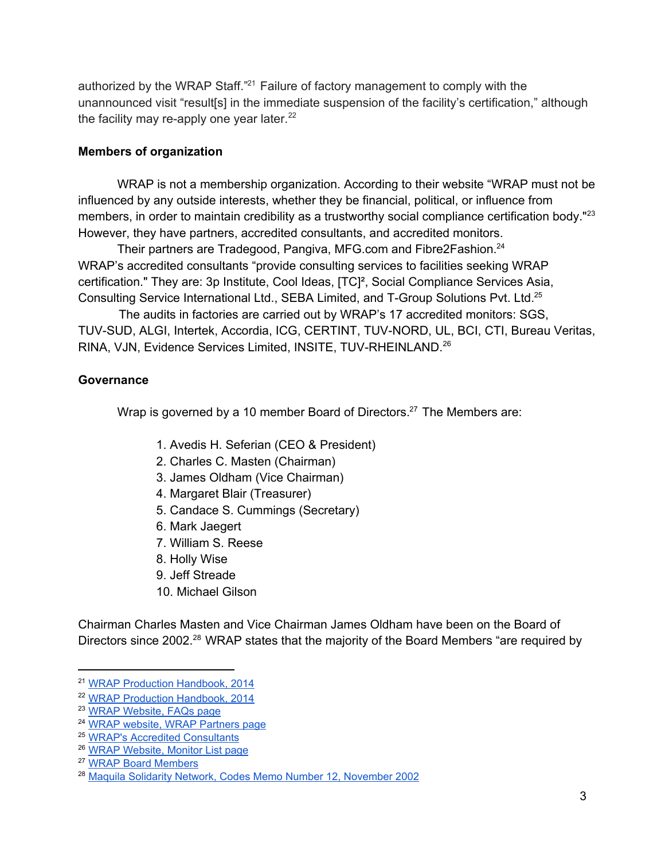authorized by the WRAP Staff. $21$  Failure of factory management to comply with the unannounced visit "result[s] in the immediate suspension of the facility's certification," although the facility may re-apply one year later. $22$ 

### **Members of organization**

WRAP is not a membership organization. According to their website "WRAP must not be influenced by any outside interests, whether they be financial, political, or influence from members, in order to maintain credibility as a trustworthy social compliance certification body."<sup>23</sup> However, they have partners, accredited consultants, and accredited monitors.

Their partners are Tradegood, Pangiva, MFG.com and Fibre2Fashion.<sup>24</sup> WRAP's accredited consultants "provide consulting services to facilities seeking WRAP certification." They are: 3p Institute, Cool Ideas, [TC]², Social Compliance Services Asia, Consulting Service International Ltd., SEBA Limited, and T-Group Solutions Pvt. Ltd.<sup>25</sup>

The audits in factories are carried out by WRAP's 17 accredited monitors: SGS, TUV-SUD, ALGI, Intertek, Accordia, ICG, CERTINT, TUV-NORD, UL, BCI, CTI, Bureau Veritas, RINA, VJN, Evidence Services Limited, INSITE, TUV-RHEINLAND.<sup>26</sup>

# **Governance**

Wrap is governed by a 10 member Board of Directors. $27$  The Members are:

- 1. Avedis H. Seferian (CEO & President)
- 2. Charles C. Masten (Chairman)
- 3. James Oldham (Vice Chairman)
- 4. Margaret Blair (Treasurer)
- 5. Candace S. Cummings (Secretary)
- 6. Mark Jaegert
- 7. William S. Reese
- 8. Holly Wise
- 9. Jeff Streade
- 10. Michael Gilson

Chairman Charles Masten and Vice Chairman James Oldham have been on the Board of Directors since 2002.<sup>28</sup> WRAP states that the majority of the Board Members "are required by

<sup>21</sup> WRAP Production [Handbook,](http://www.google.com/url?q=http%3A%2F%2Fwww.wrapcompliance.org%2Fdocuments%2F2014_Factory_Handbook_v2.pdf&sa=D&sntz=1&usg=AFQjCNFdRHemwbr-ctoBTWds5R_qYscS1Q) 2014

<sup>22</sup> WRAP Production [Handbook,](http://www.google.com/url?q=http%3A%2F%2Fwww.wrapcompliance.org%2Fdocuments%2F2014_Factory_Handbook_v2.pdf&sa=D&sntz=1&usg=AFQjCNFdRHemwbr-ctoBTWds5R_qYscS1Q) 2014

<sup>23</sup> WRAP [Website,](http://www.google.com/url?q=http%3A%2F%2Fwww.wrapcompliance.org%2Fen%2Ffaqs&sa=D&sntz=1&usg=AFQjCNGpY5D3iUAVOWDJwsSU9wtJmdPG4g) FAQs page

<sup>24</sup> WRAP website, WRAP [Partners](http://www.google.com/url?q=http%3A%2F%2Fwww.wrapcompliance.org%2Fen%2Fpartners&sa=D&sntz=1&usg=AFQjCNHHCmPkSfR3gKUyshgK_L8ZCtL7Jw) page

<sup>25</sup> WRAP's Accredited [Consultants](http://www.google.com/url?q=http%3A%2F%2Fwww.wrapcompliance.org%2Fen%2Faccredited-consultants&sa=D&sntz=1&usg=AFQjCNHnGDG5FE-VKhReubGSuwG4wKDWBQ)

<sup>26</sup> WRAP [Website,](http://www.google.com/url?q=http%3A%2F%2Fwww.wrapcompliance.org%2Fdocuments%2FMonitorSelect.php&sa=D&sntz=1&usg=AFQjCNGbthSBKJ1xbsYEFZgMtGMSra66Vw) Monitor List page

<sup>27</sup> WRAP Board [Members](http://www.google.com/url?q=http%3A%2F%2Fwww.wrapcompliance.org%2Fen%2Fboard-members&sa=D&sntz=1&usg=AFQjCNEVhTW_Zb6FdG0WYVWGXjIrGxJVRw)

<sup>28</sup> Maquila Solidarity Network, Codes Memo Number 12, [November](http://www.google.com/url?q=http%3A%2F%2Fen.maquilasolidarity.org%2Fsites%2Fmaquilasolidarity.org%2Ffiles%2Fcodesmemo12_0.PDF&sa=D&sntz=1&usg=AFQjCNGWa-gpaK3uyE8mLS0RXsUEwHMuzQ) 2002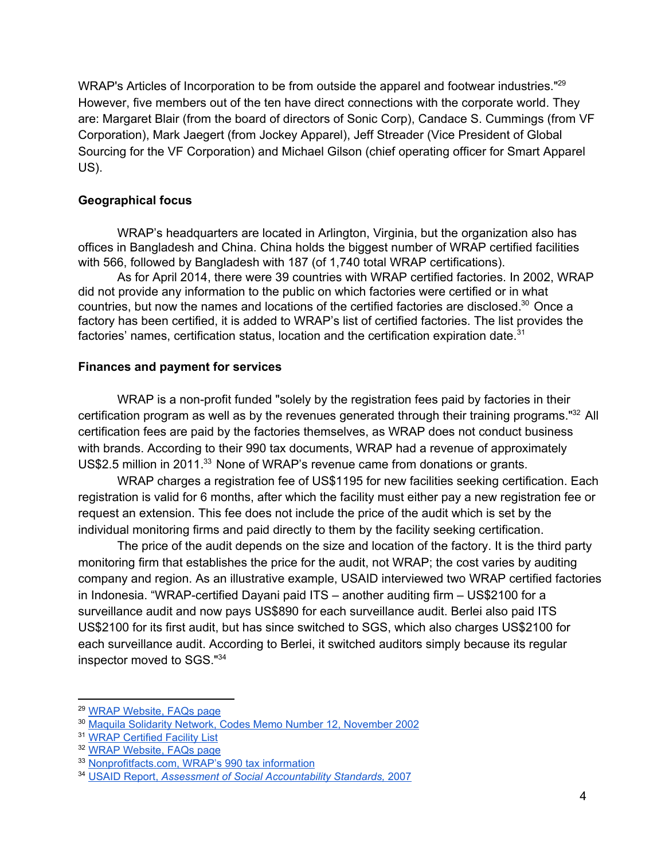WRAP's Articles of Incorporation to be from outside the apparel and footwear industries."<sup>29</sup> However, five members out of the ten have direct connections with the corporate world. They are: Margaret Blair (from the board of directors of Sonic Corp), Candace S. Cummings (from VF Corporation), Mark Jaegert (from Jockey Apparel), Jeff Streader (Vice President of Global Sourcing for the VF Corporation) and Michael Gilson (chief operating officer for Smart Apparel US).

# **Geographical focus**

WRAP's headquarters are located in Arlington, Virginia, but the organization also has offices in Bangladesh and China. China holds the biggest number of WRAP certified facilities with 566, followed by Bangladesh with 187 (of 1,740 total WRAP certifications).

As for April 2014, there were 39 countries with WRAP certified factories. In 2002, WRAP did not provide any information to the public on which factories were certified or in what countries, but now the names and locations of the certified factories are disclosed.<sup>30</sup> Once a factory has been certified, it is added to WRAP's list of certified factories. The list provides the factories' names, certification status, location and the certification expiration date.<sup>31</sup>

# **Finances and payment for services**

WRAP is a non-profit funded "solely by the registration fees paid by factories in their certification program as well as by the revenues generated through their training programs."<sup>32</sup> All certification fees are paid by the factories themselves, as WRAP does not conduct business with brands. According to their 990 tax documents, WRAP had a revenue of approximately US\$2.5 million in 2011. $33$  None of WRAP's revenue came from donations or grants.

WRAP charges a registration fee of US\$1195 for new facilities seeking certification. Each registration is valid for 6 months, after which the facility must either pay a new registration fee or request an extension. This fee does not include the price of the audit which is set by the individual monitoring firms and paid directly to them by the facility seeking certification.

The price of the audit depends on the size and location of the factory. It is the third party monitoring firm that establishes the price for the audit, not WRAP; the cost varies by auditing company and region. As an illustrative example, USAID interviewed two WRAP certified factories in Indonesia. "WRAP-certified Dayani paid ITS – another auditing firm  $-$  US\$2100 for a surveillance audit and now pays US\$890 for each surveillance audit. Berlei also paid ITS US\$2100 for its first audit, but has since switched to SGS, which also charges US\$2100 for each surveillance audit. According to Berlei, it switched auditors simply because its regular inspector moved to SGS." 34

<sup>29</sup> WRAP [Website,](http://www.google.com/url?q=http%3A%2F%2Fwww.wrapcompliance.org%2Fen%2Ffaqs&sa=D&sntz=1&usg=AFQjCNGpY5D3iUAVOWDJwsSU9wtJmdPG4g) FAQs page

<sup>30</sup> Maquila Solidarity Network, Codes Memo Number 12, [November](http://www.google.com/url?q=http%3A%2F%2Fen.maquilasolidarity.org%2Fsites%2Fmaquilasolidarity.org%2Ffiles%2Fcodesmemo12_0.PDF&sa=D&sntz=1&usg=AFQjCNGWa-gpaK3uyE8mLS0RXsUEwHMuzQ) 2002

<sup>31</sup> WRAP [Certified](http://www.google.com/url?q=http%3A%2F%2Fwww.wrapcompliance.org%2Fen%2Fwrap-facilities-worldwide&sa=D&sntz=1&usg=AFQjCNHCMdDlqfjWaw8aMHsvmXxWubsnEg) Facility List

<sup>32</sup> WRAP [Website,](http://www.google.com/url?q=http%3A%2F%2Fwww.wrapcompliance.org%2Fen%2Ffaqs&sa=D&sntz=1&usg=AFQjCNGpY5D3iUAVOWDJwsSU9wtJmdPG4g) FAQs page

<sup>33</sup> [Nonprofitfacts.com,](http://www.google.com/url?q=http%3A%2F%2Fwww.nonprofitfacts.com%2F%2FVA%2FWorldwide-Responsible-Accredited-Production.html&sa=D&sntz=1&usg=AFQjCNHbhCPmygORGMlPVvfY9MhpEutFwQ) WRAP's 990 tax information

<sup>34</sup> USAID [Report,](http://www.google.com/url?q=http%3A%2F%2Fpdf.usaid.gov%2Fpdf_docs%2FPNADP612.pdf&sa=D&sntz=1&usg=AFQjCNHwBA5RdZlQK9gh6j-xiZhW_7-ZAA) *Assessment of Social [Accountability](http://www.google.com/url?q=http%3A%2F%2Fpdf.usaid.gov%2Fpdf_docs%2FPNADP612.pdf&sa=D&sntz=1&usg=AFQjCNHwBA5RdZlQK9gh6j-xiZhW_7-ZAA) Standards,* [2007](http://www.google.com/url?q=http%3A%2F%2Fpdf.usaid.gov%2Fpdf_docs%2FPNADP612.pdf&sa=D&sntz=1&usg=AFQjCNHwBA5RdZlQK9gh6j-xiZhW_7-ZAA)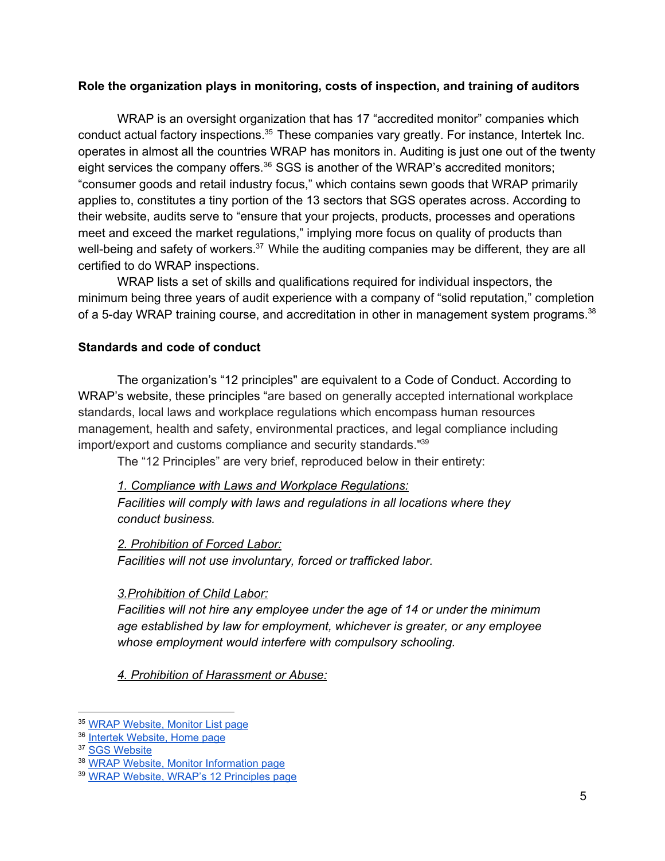### **Role the organization plays in monitoring, costs of inspection, and training of auditors**

WRAP is an oversight organization that has 17 "accredited monitor" companies which conduct actual factory inspections.<sup>35</sup> These companies vary greatly. For instance, Intertek Inc. operates in almost all the countries WRAP has monitors in. Auditing is just one out of the twenty eight services the company offers. $36$  SGS is another of the WRAP's accredited monitors; "consumer goods and retail industry focus," which contains sewn goods that WRAP primarily applies to, constitutes a tiny portion of the 13 sectors that SGS operates across. According to their website, audits serve to "ensure that your projects, products, processes and operations meet and exceed the market regulations," implying more focus on quality of products than well-being and safety of workers.<sup>37</sup> While the auditing companies may be different, they are all certified to do WRAP inspections.

WRAP lists a set of skills and qualifications required for individual inspectors, the minimum being three years of audit experience with a company of "solid reputation," completion of a 5-day WRAP training course, and accreditation in other in management system programs.<sup>38</sup>

# **Standards and code of conduct**

The organization's "12 principles" are equivalent to a Code of Conduct. According to WRAP's website, these principles "are based on generally accepted international workplace standards, local laws and workplace regulations which encompass human resources management, health and safety, environmental practices, and legal compliance including import/export and customs compliance and security standards." 39

The "12 Principles" are very brief, reproduced below in their entirety:

*1. Compliance with Laws and Workplace Regulations: Facilities will comply with laws and regulations in all locations where they conduct business.*

*2. Prohibition of Forced Labor: Facilities will not use involuntary, forced or trafficked labor.*

# *3.Prohibition of Child Labor:*

*Facilities will not hire any employee under the age of 14 or under the minimum age established by law for employment, whichever is greater, or any employee whose employment would interfere with compulsory schooling.*

*4. Prohibition of Harassment or Abuse:*

<sup>35</sup> WRAP [Website,](http://www.google.com/url?q=http%3A%2F%2Fwww.wrapcompliance.org%2Fdocuments%2FMonitorSelect.php&sa=D&sntz=1&usg=AFQjCNGbthSBKJ1xbsYEFZgMtGMSra66Vw) Monitor List page

<sup>&</sup>lt;sup>36</sup> Intertek [Website,](http://www.google.com/url?q=http%3A%2F%2Fwww.intertek.com&sa=D&sntz=1&usg=AFQjCNEquk8cx7wSIn3B8Jm6ZITzDKzNpw) Home page

<sup>&</sup>lt;sup>37</sup> SGS [Website](http://www.google.com/url?q=http%3A%2F%2Fwww.sgsgroup.us.com%2Fen%2FService-by-Type-Path%2FCertification.aspx&sa=D&sntz=1&usg=AFQjCNEeshfKlrHAVzBTKQTrt9LfXGXtsg)

<sup>38</sup> WRAP Website, Monitor [Information](http://www.google.com/url?q=http%3A%2F%2Fwww.wrapcompliance.org%2Fen%2Fmonitor-information&sa=D&sntz=1&usg=AFQjCNHVgDDSUiqsnj5IxYYMZ2iJbRY3XA) page

<sup>39</sup> WRAP Website, WRAP's 12 [Principles](http://www.google.com/url?q=http%3A%2F%2Fwww.wrapcompliance.org%2Fen%2F12-principles&sa=D&sntz=1&usg=AFQjCNHjQs67-OVj6vTrioGRJX15_mS6Dw) page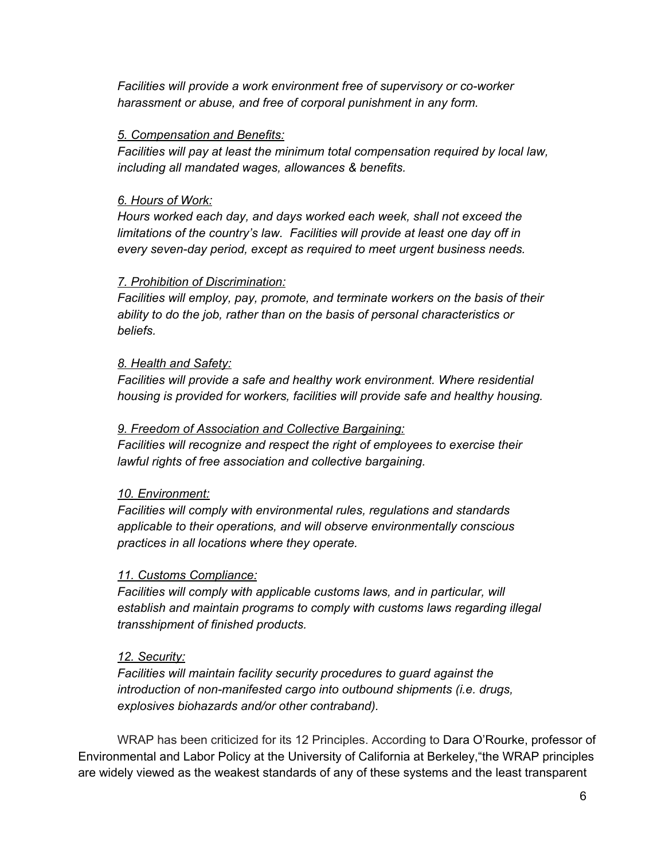*Facilities will provide a work environment free of supervisory or coworker harassment or abuse, and free of corporal punishment in any form.*

# *5. Compensation and Benefits:*

*Facilities will pay at least the minimum total compensation required by local law, including all mandated wages, allowances & benefits.*

# *6. Hours of Work:*

*Hours worked each day, and days worked each week, shall not exceed the limitations of the country's law. Facilities will provide at least one day off in every sevenday period, except as required to meet urgent business needs.*

# *7. Prohibition of Discrimination:*

*Facilities will employ, pay, promote, and terminate workers on the basis of their ability to do the job, rather than on the basis of personal characteristics or beliefs.*

# *8. Health and Safety:*

*Facilities will provide a safe and healthy work environment. Where residential housing is provided for workers, facilities will provide safe and healthy housing.*

# *9. Freedom of Association and Collective Bargaining:*

*Facilities will recognize and respect the right of employees to exercise their lawful rights of free association and collective bargaining.*

# *10. Environment:*

*Facilities will comply with environmental rules, regulations and standards applicable to their operations, and will observe environmentally conscious practices in all locations where they operate.*

# *11. Customs Compliance:*

*Facilities will comply with applicable customs laws, and in particular, will establish and maintain programs to comply with customs laws regarding illegal transshipment of finished products.*

# *12. Security:*

*Facilities will maintain facility security procedures to guard against the introduction of nonmanifested cargo into outbound shipments (i.e. drugs, explosives biohazards and/or other contraband).*

WRAP has been criticized for its 12 Principles. According to Dara O'Rourke, professor of Environmental and Labor Policy at the University of California at Berkeley,"the WRAP principles are widely viewed as the weakest standards of any of these systems and the least transparent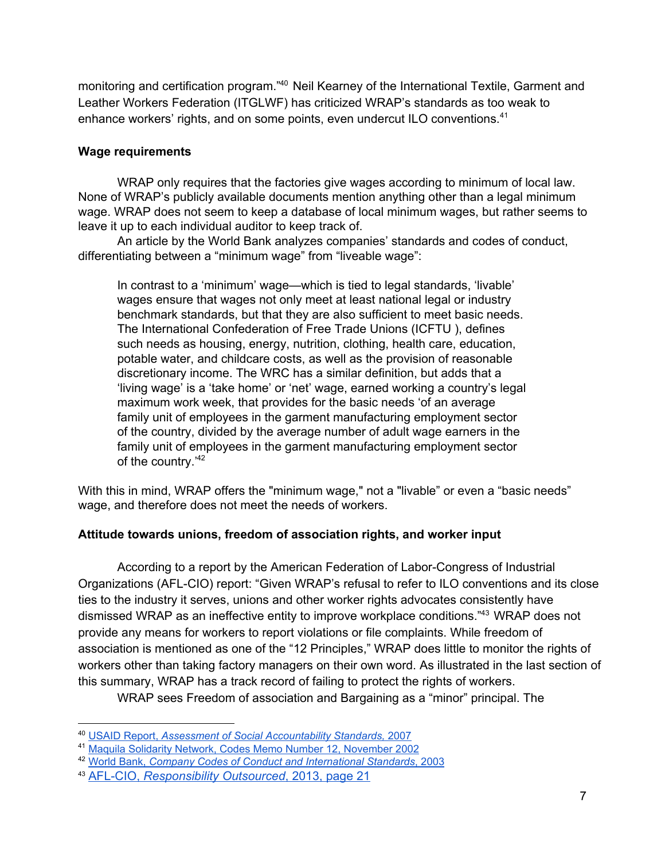monitoring and certification program."<sup>40</sup> Neil Kearney of the International Textile, Garment and Leather Workers Federation (ITGLWF) has criticized WRAP's standards as too weak to enhance workers' rights, and on some points, even undercut ILO conventions.<sup>41</sup>

### **Wage requirements**

WRAP only requires that the factories give wages according to minimum of local law. None of WRAP's publicly available documents mention anything other than a legal minimum wage. WRAP does not seem to keep a database of local minimum wages, but rather seems to leave it up to each individual auditor to keep track of.

An article by the World Bank analyzes companies' standards and codes of conduct, differentiating between a "minimum wage" from "liveable wage":

In contrast to a 'minimum' wage—which is tied to legal standards, 'livable' wages ensure that wages not only meet at least national legal or industry benchmark standards, but that they are also sufficient to meet basic needs. The International Confederation of Free Trade Unions (ICFTU ), defines such needs as housing, energy, nutrition, clothing, health care, education, potable water, and childcare costs, as well as the provision of reasonable discretionary income. The WRC has a similar definition, but adds that a 'living wage' is a 'take home' or 'net' wage, earned working a country's legal maximum work week, that provides for the basic needs 'of an average family unit of employees in the garment manufacturing employment sector of the country, divided by the average number of adult wage earners in the family unit of employees in the garment manufacturing employment sector of the country.<sup>'42</sup>

With this in mind, WRAP offers the "minimum wage," not a "livable" or even a "basic needs" wage, and therefore does not meet the needs of workers.

# **Attitude towards unions, freedom of association rights, and worker input**

According to a report by the American Federation of Labor-Congress of Industrial Organizations (AFLCIO) report: "Given WRAP's refusal to refer to ILO conventions and its close ties to the industry it serves, unions and other worker rights advocates consistently have dismissed WRAP as an ineffective entity to improve workplace conditions."<sup>43</sup> WRAP does not provide any means for workers to report violations or file complaints. While freedom of association is mentioned as one of the "12 Principles," WRAP does little to monitor the rights of workers other than taking factory managers on their own word. As illustrated in the last section of this summary, WRAP has a track record of failing to protect the rights of workers.

WRAP sees Freedom of association and Bargaining as a "minor" principal. The

<sup>40</sup> USAID [Report,](http://www.google.com/url?q=http%3A%2F%2Fpdf.usaid.gov%2Fpdf_docs%2FPNADP612.pdf&sa=D&sntz=1&usg=AFQjCNHwBA5RdZlQK9gh6j-xiZhW_7-ZAA) *Assessment of Social [Accountability](http://www.google.com/url?q=http%3A%2F%2Fpdf.usaid.gov%2Fpdf_docs%2FPNADP612.pdf&sa=D&sntz=1&usg=AFQjCNHwBA5RdZlQK9gh6j-xiZhW_7-ZAA) Standards,* [2007](http://www.google.com/url?q=http%3A%2F%2Fpdf.usaid.gov%2Fpdf_docs%2FPNADP612.pdf&sa=D&sntz=1&usg=AFQjCNHwBA5RdZlQK9gh6j-xiZhW_7-ZAA)

<sup>41</sup> Maquila Solidarity Network, Codes Memo Number 12, [November](http://www.google.com/url?q=http%3A%2F%2Fen.maquilasolidarity.org%2Fsites%2Fmaquilasolidarity.org%2Ffiles%2Fcodesmemo12_0.PDF&sa=D&sntz=1&usg=AFQjCNGWa-gpaK3uyE8mLS0RXsUEwHMuzQ) 2002

<sup>42</sup> [World](http://www.google.com/url?q=http%3A%2F%2Fsiteresources.worldbank.org%2FINTPSD%2FResources%2FCSR%2FCompany_Codes_of_Conduct.pdf&sa=D&sntz=1&usg=AFQjCNHExz2IFWRTK6Wdyza3fae-NSihzA) Bank, *Company Codes of Conduct and [International](http://www.google.com/url?q=http%3A%2F%2Fsiteresources.worldbank.org%2FINTPSD%2FResources%2FCSR%2FCompany_Codes_of_Conduct.pdf&sa=D&sntz=1&usg=AFQjCNHExz2IFWRTK6Wdyza3fae-NSihzA) Standards*, [2003](http://www.google.com/url?q=http%3A%2F%2Fsiteresources.worldbank.org%2FINTPSD%2FResources%2FCSR%2FCompany_Codes_of_Conduct.pdf&sa=D&sntz=1&usg=AFQjCNHExz2IFWRTK6Wdyza3fae-NSihzA)

<sup>43</sup> [AFLCIO,](http://www.google.com/url?q=http%3A%2F%2Fwww.aflcio.org%2Fcontent%2Fdownload%2F77061%2F1902391%2FCSReport.pdf&sa=D&sntz=1&usg=AFQjCNFlfCjmajYtbyI6Qqm7H-YVDHalhA) *[Responsibility](http://www.google.com/url?q=http%3A%2F%2Fwww.aflcio.org%2Fcontent%2Fdownload%2F77061%2F1902391%2FCSReport.pdf&sa=D&sntz=1&usg=AFQjCNFlfCjmajYtbyI6Qqm7H-YVDHalhA) Outsourced*, [2013,](http://www.google.com/url?q=http%3A%2F%2Fwww.aflcio.org%2Fcontent%2Fdownload%2F77061%2F1902391%2FCSReport.pdf&sa=D&sntz=1&usg=AFQjCNFlfCjmajYtbyI6Qqm7H-YVDHalhA) page 21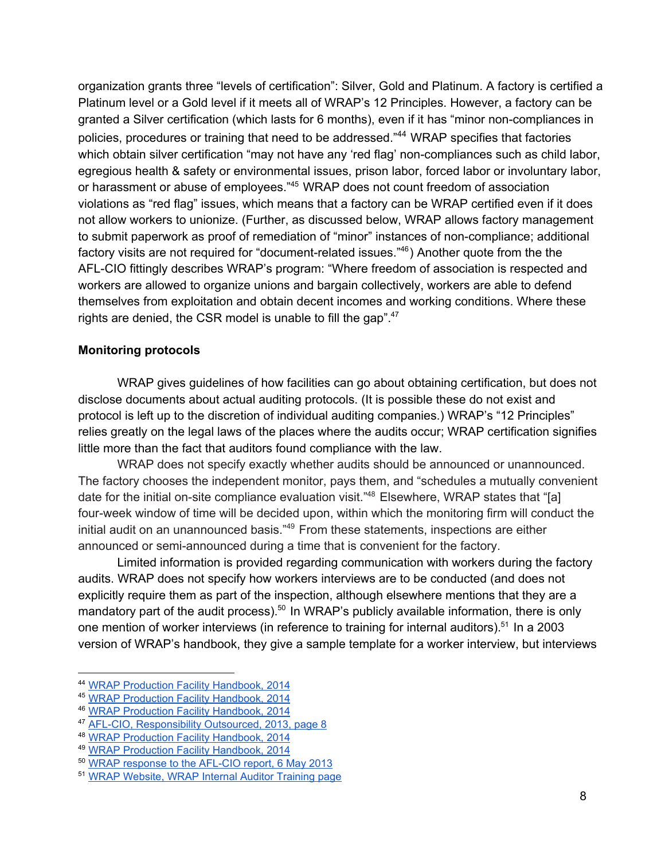organization grants three "levels of certification": Silver, Gold and Platinum. A factory is certified a Platinum level or a Gold level if it meets all of WRAP's 12 Principles. However, a factory can be granted a Silver certification (which lasts for 6 months), even if it has "minor non-compliances in policies, procedures or training that need to be addressed."<sup>44</sup> WRAP specifies that factories which obtain silver certification "may not have any 'red flag' non-compliances such as child labor, egregious health & safety or environmental issues, prison labor, forced labor or involuntary labor, or harassment or abuse of employees."<sup>45</sup> WRAP does not count freedom of association violations as "red flag" issues, which means that a factory can be WRAP certified even if it does not allow workers to unionize. (Further, as discussed below, WRAP allows factory management to submit paperwork as proof of remediation of "minor" instances of non-compliance; additional factory visits are not required for "document-related issues." $46$ ) Another quote from the the AFL-CIO fittingly describes WRAP's program: "Where freedom of association is respected and workers are allowed to organize unions and bargain collectively, workers are able to defend themselves from exploitation and obtain decent incomes and working conditions. Where these rights are denied, the CSR model is unable to fill the gap".<sup>47</sup>

#### **Monitoring protocols**

WRAP gives guidelines of how facilities can go about obtaining certification, but does not disclose documents about actual auditing protocols. (It is possible these do not exist and protocol is left up to the discretion of individual auditing companies.) WRAP's "12 Principles" relies greatly on the legal laws of the places where the audits occur; WRAP certification signifies little more than the fact that auditors found compliance with the law.

WRAP does not specify exactly whether audits should be announced or unannounced. The factory chooses the independent monitor, pays them, and "schedules a mutually convenient date for the initial on-site compliance evaluation visit."<sup>48</sup> Elsewhere, WRAP states that "[a] four-week window of time will be decided upon, within which the monitoring firm will conduct the initial audit on an unannounced basis."<sup>49</sup> From these statements, inspections are either announced or semi-announced during a time that is convenient for the factory.

Limited information is provided regarding communication with workers during the factory audits. WRAP does not specify how workers interviews are to be conducted (and does not explicitly require them as part of the inspection, although elsewhere mentions that they are a mandatory part of the audit process).<sup>50</sup> In WRAP's publicly available information, there is only one mention of worker interviews (in reference to training for internal auditors).<sup>51</sup> In a 2003 version of WRAP's handbook, they give a sample template for a worker interview, but interviews

<sup>44</sup> WRAP Production Facility [Handbook,](http://www.google.com/url?q=http%3A%2F%2Fwww.wrapcompliance.org%2Fdocuments%2F2014_Factory_Handbook_v2.pdf&sa=D&sntz=1&usg=AFQjCNFdRHemwbr-ctoBTWds5R_qYscS1Q) 2014

<sup>45</sup> WRAP Production Facility [Handbook,](http://www.google.com/url?q=http%3A%2F%2Fwww.wrapcompliance.org%2Fdocuments%2F2014_Factory_Handbook_v2.pdf&sa=D&sntz=1&usg=AFQjCNFdRHemwbr-ctoBTWds5R_qYscS1Q) 2014

<sup>46</sup> WRAP Production Facility [Handbook,](http://www.google.com/url?q=http%3A%2F%2Fwww.wrapcompliance.org%2Fdocuments%2F2014_Factory_Handbook_v2.pdf&sa=D&sntz=1&usg=AFQjCNFdRHemwbr-ctoBTWds5R_qYscS1Q) 2014

<sup>&</sup>lt;sup>47</sup> AFL-CIO, [Responsibility](http://www.google.com/url?q=http%3A%2F%2Fwww.aflcio.org%2Fcontent%2Fdownload%2F77061%2F1902391%2FCSReport.pdf&sa=D&sntz=1&usg=AFQjCNFlfCjmajYtbyI6Qqm7H-YVDHalhA) Outsourced, 2013, page 8

<sup>48</sup> WRAP Production Facility [Handbook,](http://www.google.com/url?q=http%3A%2F%2Fwww.wrapcompliance.org%2Fdocuments%2F2014_Factory_Handbook_v2.pdf&sa=D&sntz=1&usg=AFQjCNFdRHemwbr-ctoBTWds5R_qYscS1Q) 2014

<sup>49</sup> WRAP Production Facility [Handbook,](http://www.google.com/url?q=http%3A%2F%2Fwww.wrapcompliance.org%2Fdocuments%2F2014_Factory_Handbook_v2.pdf&sa=D&sntz=1&usg=AFQjCNFdRHemwbr-ctoBTWds5R_qYscS1Q) 2014

<sup>&</sup>lt;sup>50</sup> WRAP [response](http://www.google.com/url?q=http%3A%2F%2Fbusiness-humanrights.org%2Fmedia%2Fdocuments%2Fcompany_responses%2Fwrap-re-afl-cio-report-06-05-2013.pdf&sa=D&sntz=1&usg=AFQjCNFPRawGVr_gHfZIPX5Fnqj_NqPeyA) to the AFL-CIO report, 6 May 2013

<sup>51</sup> WRAP [Website,](http://www.google.com/url?q=http%3A%2F%2Fwww.wrapcompliance.org%2Fen%2Finternal-auditor-training&sa=D&sntz=1&usg=AFQjCNGowHKP4bFbmiYIZv5tqiEfCSGVKw) WRAP Internal Auditor Training page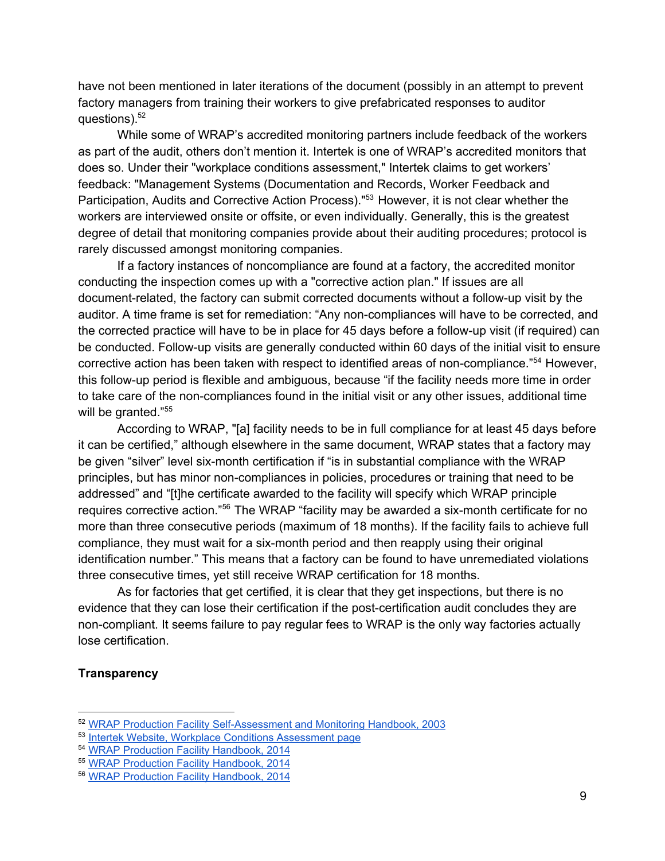have not been mentioned in later iterations of the document (possibly in an attempt to prevent factory managers from training their workers to give prefabricated responses to auditor questions). 52

While some of WRAP's accredited monitoring partners include feedback of the workers as part of the audit, others don't mention it. Intertek is one of WRAP's accredited monitors that does so. Under their "workplace conditions assessment," Intertek claims to get workers' feedback: "Management Systems (Documentation and Records, Worker Feedback and Participation, Audits and Corrective Action Process)."<sup>53</sup> However, it is not clear whether the workers are interviewed onsite or offsite, or even individually. Generally, this is the greatest degree of detail that monitoring companies provide about their auditing procedures; protocol is rarely discussed amongst monitoring companies.

If a factory instances of noncompliance are found at a factory, the accredited monitor conducting the inspection comes up with a "corrective action plan." If issues are all document-related, the factory can submit corrected documents without a follow-up visit by the auditor. A time frame is set for remediation: "Any non-compliances will have to be corrected, and the corrected practice will have to be in place for 45 days before a follow-up visit (if required) can be conducted. Follow-up visits are generally conducted within 60 days of the initial visit to ensure corrective action has been taken with respect to identified areas of non-compliance."<sup>54</sup> However, this follow-up period is flexible and ambiguous, because "if the facility needs more time in order to take care of the non-compliances found in the initial visit or any other issues, additional time will be granted."<sup>55</sup>

According to WRAP, "[a] facility needs to be in full compliance for at least 45 days before it can be certified," although elsewhere in the same document, WRAP states that a factory may be given "silver" level six-month certification if "is in substantial compliance with the WRAP principles, but has minor non-compliances in policies, procedures or training that need to be addressed" and "[t]he certificate awarded to the facility will specify which WRAP principle requires corrective action."<sup>56</sup> The WRAP "facility may be awarded a six-month certificate for no more than three consecutive periods (maximum of 18 months). If the facility fails to achieve full compliance, they must wait for a six-month period and then reapply using their original identification number." This means that a factory can be found to have unremediated violations three consecutive times, yet still receive WRAP certification for 18 months.

As for factories that get certified, it is clear that they get inspections, but there is no evidence that they can lose their certification if the post-certification audit concludes they are non-compliant. It seems failure to pay regular fees to WRAP is the only way factories actually lose certification.

#### **Transparency**

<sup>&</sup>lt;sup>52</sup> WRAP Production Facility Self-Assessment and Monitoring Handbook, 2003

<sup>&</sup>lt;sup>53</sup> Intertek Website, Workplace Conditions [Assessment](http://www.google.com/url?q=http%3A%2F%2Fwww.intertek.com%2Fconsumer%2Fauditing%2Fwca%2F&sa=D&sntz=1&usg=AFQjCNEpJq1JcwdexNwEJKKGkb119pSXvw) page

<sup>54</sup> WRAP Production Facility [Handbook,](http://www.google.com/url?q=http%3A%2F%2Fwww.wrapcompliance.org%2Fdocuments%2F2014_Factory_Handbook_v2.pdf&sa=D&sntz=1&usg=AFQjCNFdRHemwbr-ctoBTWds5R_qYscS1Q) 2014

<sup>55</sup> WRAP Production Facility [Handbook,](http://www.google.com/url?q=http%3A%2F%2Fwww.wrapcompliance.org%2Fdocuments%2F2014_Factory_Handbook_v2.pdf&sa=D&sntz=1&usg=AFQjCNFdRHemwbr-ctoBTWds5R_qYscS1Q) 2014

<sup>56</sup> WRAP Production Facility [Handbook,](http://www.google.com/url?q=http%3A%2F%2Fwww.wrapcompliance.org%2Fdocuments%2F2014_Factory_Handbook_v2.pdf&sa=D&sntz=1&usg=AFQjCNFdRHemwbr-ctoBTWds5R_qYscS1Q) 2014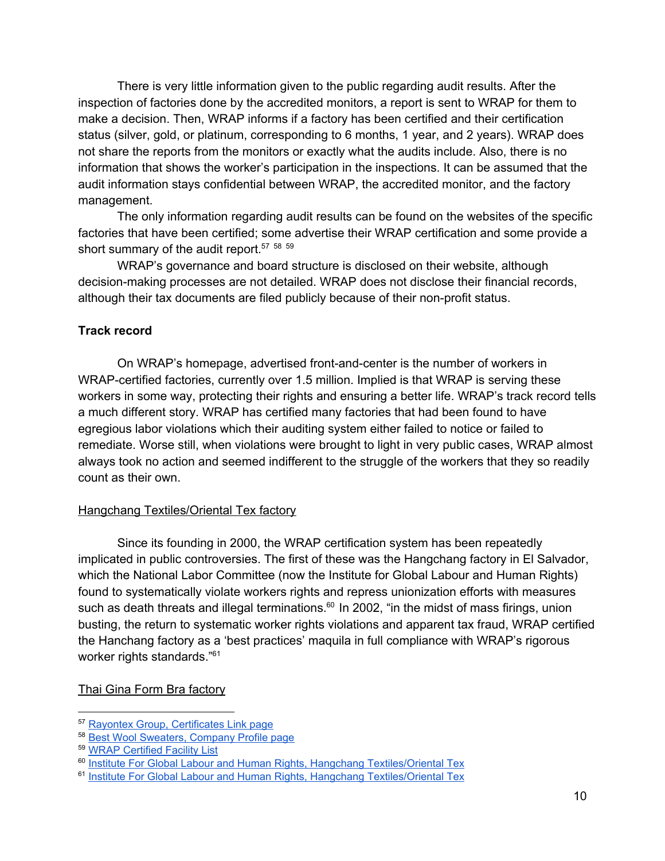There is very little information given to the public regarding audit results. After the inspection of factories done by the accredited monitors, a report is sent to WRAP for them to make a decision. Then, WRAP informs if a factory has been certified and their certification status (silver, gold, or platinum, corresponding to 6 months, 1 year, and 2 years). WRAP does not share the reports from the monitors or exactly what the audits include. Also, there is no information that shows the worker's participation in the inspections. It can be assumed that the audit information stays confidential between WRAP, the accredited monitor, and the factory management.

The only information regarding audit results can be found on the websites of the specific factories that have been certified; some advertise their WRAP certification and some provide a short summary of the audit report.<sup>57</sup> <sup>58</sup> <sup>59</sup>

WRAP's governance and board structure is disclosed on their website, although decision-making processes are not detailed. WRAP does not disclose their financial records, although their tax documents are filed publicly because of their non-profit status.

# **Track record**

On WRAP's homepage, advertised front-and-center is the number of workers in WRAP-certified factories, currently over 1.5 million. Implied is that WRAP is serving these workers in some way, protecting their rights and ensuring a better life. WRAP's track record tells a much different story. WRAP has certified many factories that had been found to have egregious labor violations which their auditing system either failed to notice or failed to remediate. Worse still, when violations were brought to light in very public cases, WRAP almost always took no action and seemed indifferent to the struggle of the workers that they so readily count as their own.

#### Hangchang Textiles/Oriental Tex factory

Since its founding in 2000, the WRAP certification system has been repeatedly implicated in public controversies. The first of these was the Hangchang factory in El Salvador, which the National Labor Committee (now the Institute for Global Labour and Human Rights) found to systematically violate workers rights and repress unionization efforts with measures such as death threats and illegal terminations.<sup>60</sup> In 2002, "in the midst of mass firings, union busting, the return to systematic worker rights violations and apparent tax fraud, WRAP certified the Hanchang factory as a 'best practices' maquila in full compliance with WRAP's rigorous worker rights standards."<sup>61</sup>

#### Thai Gina Form Bra factory

<sup>57</sup> Rayontex Group, [Certificates](http://www.google.com/url?q=http%3A%2F%2Fwww.rayontex.com%2Findex_en.html&sa=D&sntz=1&usg=AFQjCNGDrcoeMuqFaTzvNrWGTeps2ieelw) Link page

<sup>58</sup> Best Wool [Sweaters,](http://www.google.com/url?q=http%3A%2F%2Fwww.bestwoolbd.net%2Fprofile.html&sa=D&sntz=1&usg=AFQjCNFnYopd0R7sX--BWq27XizleXmyLQ) Company Profile page

<sup>59</sup> WRAP [Certified](http://www.google.com/url?q=http%3A%2F%2Fwww.wrapcompliance.org%2Fwrap-facilities-worldwide&sa=D&sntz=1&usg=AFQjCNECF36HLxsIA3ljvHdrT8UoT6AGPg) Facility List

<sup>&</sup>lt;sup>60</sup> Institute For Global Labour and Human Rights, Hangchang [Textiles/Oriental](http://www.google.com/url?q=http%3A%2F%2Fwww.globallabourrights.org%2Freports%2Fdocument%2F0312-IGLHR-HangchangElSalvador.pdf&sa=D&sntz=1&usg=AFQjCNHQmNxQQWAr7i4T0_O-SIxEpxufBA) Tex

<sup>&</sup>lt;sup>61</sup> Institute For Global Labour and Human Rights, Hangchang [Textiles/Oriental](http://www.google.com/url?q=http%3A%2F%2Fwww.globallabourrights.org%2Freports%2Fdocument%2F0312-IGLHR-HangchangElSalvador.pdf&sa=D&sntz=1&usg=AFQjCNHQmNxQQWAr7i4T0_O-SIxEpxufBA) Tex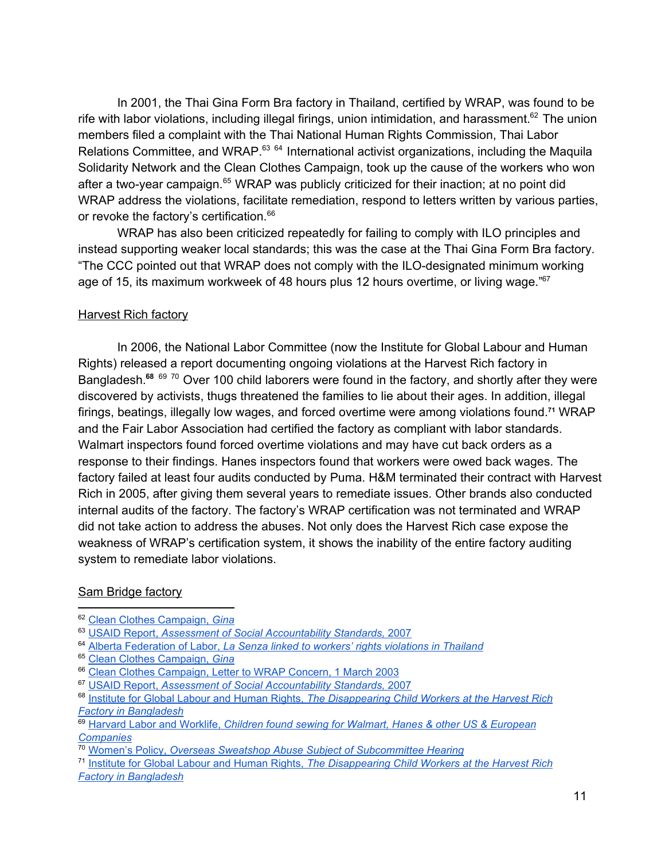In 2001, the Thai Gina Form Bra factory in Thailand, certified by WRAP, was found to be rife with labor violations, including illegal firings, union intimidation, and harassment.<sup>62</sup> The union members filed a complaint with the Thai National Human Rights Commission, Thai Labor Relations Committee, and WRAP.<sup>63 64</sup> International activist organizations, including the Maquila Solidarity Network and the Clean Clothes Campaign, took up the cause of the workers who won after a two-year campaign.<sup>65</sup> WRAP was publicly criticized for their inaction; at no point did WRAP address the violations, facilitate remediation, respond to letters written by various parties, or revoke the factory's certification.<sup>66</sup>

WRAP has also been criticized repeatedly for failing to comply with ILO principles and instead supporting weaker local standards; this was the case at the Thai Gina Form Bra factory. "The CCC pointed out that WRAP does not comply with the ILO-designated minimum working age of 15, its maximum workweek of 48 hours plus 12 hours overtime, or living wage."<sup>67</sup>

### Harvest Rich factory

In 2006, the National Labor Committee (now the Institute for Global Labour and Human Rights) released a report documenting ongoing violations at the Harvest Rich factory in Bangladesh.<sup>68 69 70</sup> Over 100 child laborers were found in the factory, and shortly after they were discovered by activists, thugs threatened the families to lie about their ages. In addition, illegal firings, beatings, illegally low wages, and forced overtime were among violations found.<sup>71</sup> WRAP and the Fair Labor Association had certified the factory as compliant with labor standards. Walmart inspectors found forced overtime violations and may have cut back orders as a response to their findings. Hanes inspectors found that workers were owed back wages. The factory failed at least four audits conducted by Puma. H&M terminated their contract with Harvest Rich in 2005, after giving them several years to remediate issues. Other brands also conducted internal audits of the factory. The factory's WRAP certification was not terminated and WRAP did not take action to address the abuses. Not only does the Harvest Rich case expose the weakness of WRAP's certification system, it shows the inability of the entire factory auditing system to remediate labor violations.

# Sam Bridge factory

<sup>62</sup> Clean Clothes [Campaign,](http://www.google.com/url?q=http%3A%2F%2Farchive.cleanclothes.org%2Fresources%2Fccc%2Fcorporate-accountability%2Fcode-implementation-a-verification%2F42&sa=D&sntz=1&usg=AFQjCNEANWPFXH2gXbbc7rEzM_7vQvQlxA) *[Gina](http://www.google.com/url?q=http%3A%2F%2Farchive.cleanclothes.org%2Fresources%2Fccc%2Fcorporate-accountability%2Fcode-implementation-a-verification%2F42&sa=D&sntz=1&usg=AFQjCNEANWPFXH2gXbbc7rEzM_7vQvQlxA)*

<sup>63</sup> USAID [Report,](http://www.google.com/url?q=http%3A%2F%2Fpdf.usaid.gov%2Fpdf_docs%2FPNADP612.pdf&sa=D&sntz=1&usg=AFQjCNHwBA5RdZlQK9gh6j-xiZhW_7-ZAA) *Assessment of Social [Accountability](http://www.google.com/url?q=http%3A%2F%2Fpdf.usaid.gov%2Fpdf_docs%2FPNADP612.pdf&sa=D&sntz=1&usg=AFQjCNHwBA5RdZlQK9gh6j-xiZhW_7-ZAA) Standards,* [2007](http://www.google.com/url?q=http%3A%2F%2Fpdf.usaid.gov%2Fpdf_docs%2FPNADP612.pdf&sa=D&sntz=1&usg=AFQjCNHwBA5RdZlQK9gh6j-xiZhW_7-ZAA)

<sup>64</sup> Alberta [Federation](http://www.google.com/url?q=http%3A%2F%2Fwww.telusplanet.net%2Fpublic%2Fafl%2FLabourNews%2Fmarch14-03.html&sa=D&sntz=1&usg=AFQjCNGPQ4KPTPxfhaya9hPaHm_4DbUwZQ) of Labor, *La Senza linked to workers' rights [violations](http://www.google.com/url?q=http%3A%2F%2Fwww.telusplanet.net%2Fpublic%2Fafl%2FLabourNews%2Fmarch14-03.html&sa=D&sntz=1&usg=AFQjCNGPQ4KPTPxfhaya9hPaHm_4DbUwZQ) in Thailand*

<sup>65</sup> Clean Clothes [Campaign,](http://www.google.com/url?q=http%3A%2F%2Farchive.cleanclothes.org%2Fresources%2Fccc%2Fcorporate-accountability%2Fcode-implementation-a-verification%2F42&sa=D&sntz=1&usg=AFQjCNEANWPFXH2gXbbc7rEzM_7vQvQlxA) *[Gina](http://www.google.com/url?q=http%3A%2F%2Farchive.cleanclothes.org%2Fresources%2Fccc%2Fcorporate-accountability%2Fcode-implementation-a-verification%2F42&sa=D&sntz=1&usg=AFQjCNEANWPFXH2gXbbc7rEzM_7vQvQlxA)*

<sup>66</sup> Clean Clothes [Campaign,](http://www.google.com/url?q=http%3A%2F%2Farchive.cleanclothes.org%2Fresources%2Fccc%2Fcorporate-accountability%2Fcode-implementation-a-verification%2F730&sa=D&sntz=1&usg=AFQjCNHoKaUi5ZoyMBD7wilpEICtNDxHEQ) Letter to WRAP Concern, 1 March 2003

<sup>67</sup> USAID [Report,](http://www.google.com/url?q=http%3A%2F%2Fpdf.usaid.gov%2Fpdf_docs%2FPNADP612.pdf&sa=D&sntz=1&usg=AFQjCNHwBA5RdZlQK9gh6j-xiZhW_7-ZAA) *Assessment of Social [Accountability](http://www.google.com/url?q=http%3A%2F%2Fpdf.usaid.gov%2Fpdf_docs%2FPNADP612.pdf&sa=D&sntz=1&usg=AFQjCNHwBA5RdZlQK9gh6j-xiZhW_7-ZAA) Standards,* [2007](http://www.google.com/url?q=http%3A%2F%2Fpdf.usaid.gov%2Fpdf_docs%2FPNADP612.pdf&sa=D&sntz=1&usg=AFQjCNHwBA5RdZlQK9gh6j-xiZhW_7-ZAA)

<sup>68</sup> [Institute](http://www.google.com/url?q=http%3A%2F%2Fwww.globallabourrights.org%2Falerts%2Fthe-disappearing-child-workers-at-the-harvest-rich-factory-in-bangladesh&sa=D&sntz=1&usg=AFQjCNEMB3bfkgB-ZTZacRh6TnWzncNwsQ) for Global Labour and Human Rights, *The [Disappearing](http://www.google.com/url?q=http%3A%2F%2Fwww.globallabourrights.org%2Falerts%2Fthe-disappearing-child-workers-at-the-harvest-rich-factory-in-bangladesh&sa=D&sntz=1&usg=AFQjCNEMB3bfkgB-ZTZacRh6TnWzncNwsQ) Child Workers at the Harvest Rich Factory in [Bangladesh](http://www.google.com/url?q=http%3A%2F%2Fwww.globallabourrights.org%2Falerts%2Fthe-disappearing-child-workers-at-the-harvest-rich-factory-in-bangladesh&sa=D&sntz=1&usg=AFQjCNEMB3bfkgB-ZTZacRh6TnWzncNwsQ)*

<sup>69</sup> Harvard Labor and [Worklife,](http://www.google.com/url?q=http%3A%2F%2Fwww.law.harvard.edu%2Fprograms%2Flwp%2FNLC_childlabor.html&sa=D&sntz=1&usg=AFQjCNG4kUk2pdoYGTgZt2sGXUIhceqajQ) *Children found sewing for Walmart, Hanes & other US & [European](http://www.google.com/url?q=http%3A%2F%2Fwww.law.harvard.edu%2Fprograms%2Flwp%2FNLC_childlabor.html&sa=D&sntz=1&usg=AFQjCNG4kUk2pdoYGTgZt2sGXUIhceqajQ) [Companies](http://www.google.com/url?q=http%3A%2F%2Fwww.law.harvard.edu%2Fprograms%2Flwp%2FNLC_childlabor.html&sa=D&sntz=1&usg=AFQjCNG4kUk2pdoYGTgZt2sGXUIhceqajQ)*

<sup>70</sup> [Women's](http://www.google.com/url?q=http%3A%2F%2Fwww.womenspolicy.org%2Fsource%2Foverseas-sweatshop-abuse-subject-of-subcommittee-hearing%2F&sa=D&sntz=1&usg=AFQjCNGXywjo_7KGlgHp8Ql367VDs2qP0w) Policy, *Overseas Sweatshop Abuse Subject of [Subcommittee](http://www.google.com/url?q=http%3A%2F%2Fwww.womenspolicy.org%2Fsource%2Foverseas-sweatshop-abuse-subject-of-subcommittee-hearing%2F&sa=D&sntz=1&usg=AFQjCNGXywjo_7KGlgHp8Ql367VDs2qP0w) Hearing*

<sup>71</sup> [Institute](http://www.google.com/url?q=http%3A%2F%2Fwww.globallabourrights.org%2Falerts%2Fthe-disappearing-child-workers-at-the-harvest-rich-factory-in-bangladesh&sa=D&sntz=1&usg=AFQjCNEMB3bfkgB-ZTZacRh6TnWzncNwsQ) for Global Labour and Human Rights, *The [Disappearing](http://www.google.com/url?q=http%3A%2F%2Fwww.globallabourrights.org%2Falerts%2Fthe-disappearing-child-workers-at-the-harvest-rich-factory-in-bangladesh&sa=D&sntz=1&usg=AFQjCNEMB3bfkgB-ZTZacRh6TnWzncNwsQ) Child Workers at the Harvest Rich Factory in [Bangladesh](http://www.google.com/url?q=http%3A%2F%2Fwww.globallabourrights.org%2Falerts%2Fthe-disappearing-child-workers-at-the-harvest-rich-factory-in-bangladesh&sa=D&sntz=1&usg=AFQjCNEMB3bfkgB-ZTZacRh6TnWzncNwsQ)*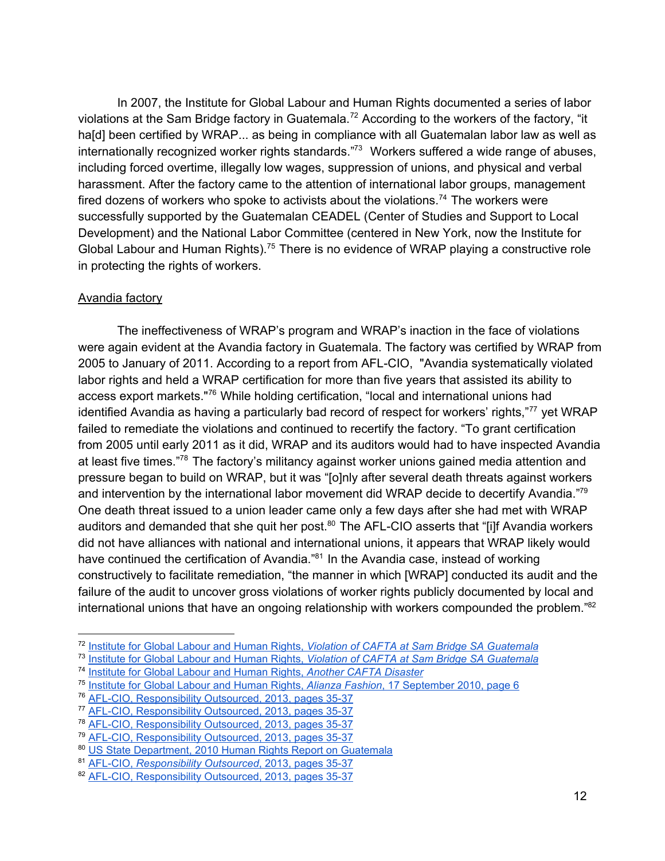In 2007, the Institute for Global Labour and Human Rights documented a series of labor violations at the Sam Bridge factory in Guatemala.<sup>72</sup> According to the workers of the factory, "it ha[d] been certified by WRAP... as being in compliance with all Guatemalan labor law as well as internationally recognized worker rights standards."<sup>73</sup> Workers suffered a wide range of abuses, including forced overtime, illegally low wages, suppression of unions, and physical and verbal harassment. After the factory came to the attention of international labor groups, management fired dozens of workers who spoke to activists about the violations.<sup>74</sup> The workers were successfully supported by the Guatemalan CEADEL (Center of Studies and Support to Local Development) and the National Labor Committee (centered in New York, now the Institute for Global Labour and Human Rights).<sup>75</sup> There is no evidence of WRAP playing a constructive role in protecting the rights of workers.

### Avandia factory

The ineffectiveness of WRAP's program and WRAP's inaction in the face of violations were again evident at the Avandia factory in Guatemala. The factory was certified by WRAP from 2005 to January of 2011. According to a report from AFL-CIO, "Avandia systematically violated labor rights and held a WRAP certification for more than five years that assisted its ability to access export markets."<sup>76</sup> While holding certification, "local and international unions had identified Avandia as having a particularly bad record of respect for workers' rights,"<sup>77</sup> yet WRAP failed to remediate the violations and continued to recertify the factory. "To grant certification from 2005 until early 2011 as it did, WRAP and its auditors would had to have inspected Avandia at least five times."<sup>78</sup> The factory's militancy against worker unions gained media attention and pressure began to build on WRAP, but it was "[o]nly after several death threats against workers and intervention by the international labor movement did WRAP decide to decertify Avandia."79 One death threat issued to a union leader came only a few days after she had met with WRAP auditors and demanded that she quit her post. $80$  The AFL-CIO asserts that "[i]f Avandia workers did not have alliances with national and international unions, it appears that WRAP likely would have continued the certification of Avandia."<sup>81</sup> In the Avandia case, instead of working constructively to facilitate remediation, "the manner in which [WRAP] conducted its audit and the failure of the audit to uncover gross violations of worker rights publicly documented by local and international unions that have an ongoing relationship with workers compounded the problem."<sup>82</sup>

<sup>72</sup> [Institute](http://www.google.com/url?q=http%3A%2F%2Fwww.globallabourrights.org%2Falerts%2Falert-violation-of-cafta-at-sam-bridge-sa-guatemala&sa=D&sntz=1&usg=AFQjCNEVnjzfk0Lz20cVYUzo67QKhuUsmQ) for Global Labour and Human Rights, *Violation of CAFTA at Sam Bridge SA [Guatemala](http://www.google.com/url?q=http%3A%2F%2Fwww.globallabourrights.org%2Falerts%2Falert-violation-of-cafta-at-sam-bridge-sa-guatemala&sa=D&sntz=1&usg=AFQjCNEVnjzfk0Lz20cVYUzo67QKhuUsmQ)*

<sup>73</sup> [Institute](http://www.google.com/url?q=http%3A%2F%2Fwww.globallabourrights.org%2Falerts%2Falert-violation-of-cafta-at-sam-bridge-sa-guatemala&sa=D&sntz=1&usg=AFQjCNEVnjzfk0Lz20cVYUzo67QKhuUsmQ) for Global Labour and Human Rights, *Violation of CAFTA at Sam Bridge SA [Guatemala](http://www.google.com/url?q=http%3A%2F%2Fwww.globallabourrights.org%2Falerts%2Falert-violation-of-cafta-at-sam-bridge-sa-guatemala&sa=D&sntz=1&usg=AFQjCNEVnjzfk0Lz20cVYUzo67QKhuUsmQ)*

<sup>74</sup> [Institute](http://www.google.com/url?q=http%3A%2F%2Fwww.globallabourrights.org%2Freports%2Fanother-cafta-disaster&sa=D&sntz=1&usg=AFQjCNHjvW2wI6qqQc-eyTwdqfUnGEHwCg) for Global Labour and Human Rights, *Another CAFTA [Disaster](http://www.google.com/url?q=http%3A%2F%2Fwww.globallabourrights.org%2Freports%2Fanother-cafta-disaster&sa=D&sntz=1&usg=AFQjCNHjvW2wI6qqQc-eyTwdqfUnGEHwCg)*

<sup>75</sup> [Institute](http://www.google.com/url?q=http%3A%2F%2Fissuu.com%2Figlhr%2Fdocs%2F1010-alianzaguatemala&sa=D&sntz=1&usg=AFQjCNHxMctT_AR2BBgCw46cLQkBLqEKhA) for Global Labour and Human Rights, *Alianza [Fashion](http://www.google.com/url?q=http%3A%2F%2Fissuu.com%2Figlhr%2Fdocs%2F1010-alianzaguatemala&sa=D&sntz=1&usg=AFQjCNHxMctT_AR2BBgCw46cLQkBLqEKhA)*, 17 [September](http://www.google.com/url?q=http%3A%2F%2Fissuu.com%2Figlhr%2Fdocs%2F1010-alianzaguatemala&sa=D&sntz=1&usg=AFQjCNHxMctT_AR2BBgCw46cLQkBLqEKhA) 2010, page 6

<sup>&</sup>lt;sup>76</sup> AFL-CIO, [Responsibility](http://www.google.com/url?q=http%3A%2F%2Fwww.aflcio.org%2Fcontent%2Fdownload%2F77061%2F1902391%2FCSReport.pdf&sa=D&sntz=1&usg=AFQjCNFlfCjmajYtbyI6Qqm7H-YVDHalhA) Outsourced, 2013, pages 35-37

<sup>&</sup>lt;sup>77</sup> AFL-CIO, [Responsibility](http://www.google.com/url?q=http%3A%2F%2Fwww.aflcio.org%2Fcontent%2Fdownload%2F77061%2F1902391%2FCSReport.pdf&sa=D&sntz=1&usg=AFQjCNFlfCjmajYtbyI6Qqm7H-YVDHalhA) Outsourced, 2013, pages 35-37

<sup>&</sup>lt;sup>78</sup> AFL-CIO, [Responsibility](http://www.google.com/url?q=http%3A%2F%2Fwww.aflcio.org%2Fcontent%2Fdownload%2F77061%2F1902391%2FCSReport.pdf&sa=D&sntz=1&usg=AFQjCNFlfCjmajYtbyI6Qqm7H-YVDHalhA) Outsourced, 2013, pages 35-37

<sup>&</sup>lt;sup>79</sup> AFL-CIO, [Responsibility](http://www.google.com/url?q=http%3A%2F%2Fwww.aflcio.org%2Fcontent%2Fdownload%2F77061%2F1902391%2FCSReport.pdf&sa=D&sntz=1&usg=AFQjCNFlfCjmajYtbyI6Qqm7H-YVDHalhA) Outsourced, 2013, pages 35-37

<sup>80</sup> US State [Department,](http://www.google.com/url?q=http%3A%2F%2Fwww.state.gov%2Fdocuments%2Forganization%2F160166.pdf&sa=D&sntz=1&usg=AFQjCNHHW1e--RIgN17kOPME_bn37tw86A) 2010 Human Rights Report on Guatemala

<sup>81</sup> AFL-CIO, *[Responsibility](http://www.google.com/url?q=http%3A%2F%2Fwww.aflcio.org%2Fcontent%2Fdownload%2F77061%2F1902391%2FCSReport.pdf&sa=D&sntz=1&usg=AFQjCNFlfCjmajYtbyI6Qqm7H-YVDHalhA) Outsourced*, 2013, [pages](http://www.google.com/url?q=http%3A%2F%2Fwww.aflcio.org%2Fcontent%2Fdownload%2F77061%2F1902391%2FCSReport.pdf&sa=D&sntz=1&usg=AFQjCNFlfCjmajYtbyI6Qqm7H-YVDHalhA) 35-37

<sup>82</sup> AFL-CIO, [Responsibility](http://www.google.com/url?q=http%3A%2F%2Fwww.aflcio.org%2Fcontent%2Fdownload%2F77061%2F1902391%2FCSReport.pdf&sa=D&sntz=1&usg=AFQjCNFlfCjmajYtbyI6Qqm7H-YVDHalhA) Outsourced, 2013, pages 35-37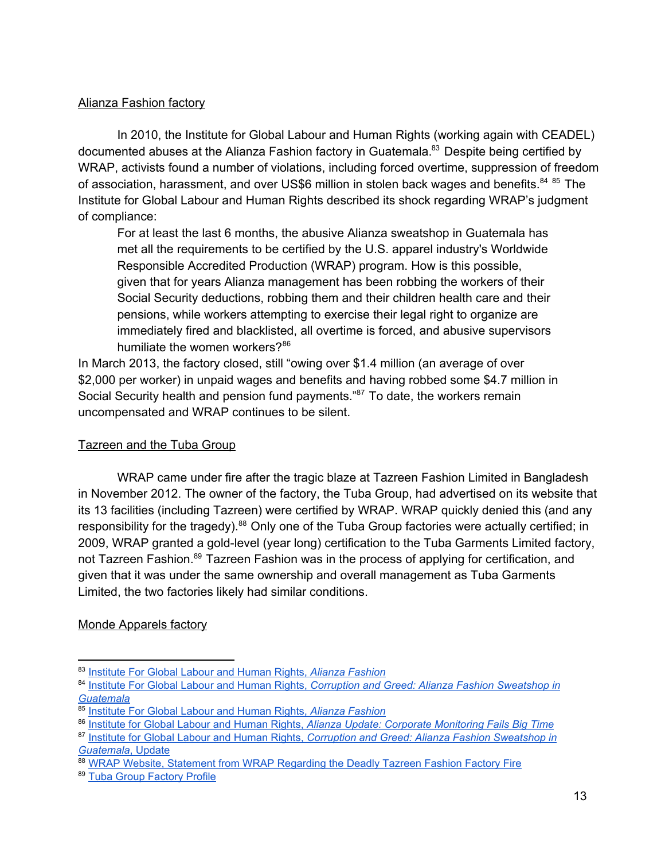# Alianza Fashion factory

In 2010, the Institute for Global Labour and Human Rights (working again with CEADEL) documented abuses at the Alianza Fashion factory in Guatemala.<sup>83</sup> Despite being certified by WRAP, activists found a number of violations, including forced overtime, suppression of freedom of association, harassment, and over US\$6 million in stolen back wages and benefits.<sup>84 85</sup> The Institute for Global Labour and Human Rights described its shock regarding WRAP's judgment of compliance:

For at least the last 6 months, the abusive Alianza sweatshop in Guatemala has met all the requirements to be certified by the U.S. apparel industry's Worldwide Responsible Accredited Production (WRAP) program. How is this possible, given that for years Alianza management has been robbing the workers of their Social Security deductions, robbing them and their children health care and their pensions, while workers attempting to exercise their legal right to organize are immediately fired and blacklisted, all overtime is forced, and abusive supervisors humiliate the women workers?<sup>86</sup>

In March 2013, the factory closed, still "owing over \$1.4 million (an average of over \$2,000 per worker) in unpaid wages and benefits and having robbed some \$4.7 million in Social Security health and pension fund payments."<sup>87</sup> To date, the workers remain uncompensated and WRAP continues to be silent.

# Tazreen and the Tuba Group

WRAP came under fire after the tragic blaze at Tazreen Fashion Limited in Bangladesh in November 2012. The owner of the factory, the Tuba Group, had advertised on its website that its 13 facilities (including Tazreen) were certified by WRAP. WRAP quickly denied this (and any responsibility for the tragedy).<sup>88</sup> Only one of the Tuba Group factories were actually certified; in 2009, WRAP granted a gold-level (year long) certification to the Tuba Garments Limited factory, not Tazreen Fashion.<sup>89</sup> Tazreen Fashion was in the process of applying for certification, and given that it was under the same ownership and overall management as Tuba Garments Limited, the two factories likely had similar conditions.

# Monde Apparels factory

<sup>83</sup> [Institute](http://www.google.com/url?q=http%3A%2F%2Fwww.globallabourrights.org%2Freports%2Fdocument%2F1010-AlianzaGuatemala.pdf&sa=D&sntz=1&usg=AFQjCNHvEe6Vq0Tl1LdqvmKu4fa9mD6bWQ) For Global Labour and Human Rights, *Alianza [Fashion](http://www.google.com/url?q=http%3A%2F%2Fwww.globallabourrights.org%2Freports%2Fdocument%2F1010-AlianzaGuatemala.pdf&sa=D&sntz=1&usg=AFQjCNHvEe6Vq0Tl1LdqvmKu4fa9mD6bWQ)*

<sup>84</sup> [Institute](http://www.google.com/url?q=http%3A%2F%2Fwww.globallabourrights.org%2Freports%2Falianza-guatemala-2014&sa=D&sntz=1&usg=AFQjCNH4SPkDcvxSCtbxWTDj_4cSCcy7sA) For Global Labour and Human Rights, *Corruption and Greed: Alianza Fashion [Sweatshop](http://www.google.com/url?q=http%3A%2F%2Fwww.globallabourrights.org%2Freports%2Falianza-guatemala-2014&sa=D&sntz=1&usg=AFQjCNH4SPkDcvxSCtbxWTDj_4cSCcy7sA) in [Guatemala](http://www.google.com/url?q=http%3A%2F%2Fwww.globallabourrights.org%2Freports%2Falianza-guatemala-2014&sa=D&sntz=1&usg=AFQjCNH4SPkDcvxSCtbxWTDj_4cSCcy7sA)*

<sup>85</sup> [Institute](http://www.google.com/url?q=http%3A%2F%2Fwww.globallabourrights.org%2Freports%2Fdocument%2F1010-AlianzaGuatemala.pdf&sa=D&sntz=1&usg=AFQjCNHvEe6Vq0Tl1LdqvmKu4fa9mD6bWQ) For Global Labour and Human Rights, *Alianza [Fashion](http://www.google.com/url?q=http%3A%2F%2Fwww.globallabourrights.org%2Freports%2Fdocument%2F1010-AlianzaGuatemala.pdf&sa=D&sntz=1&usg=AFQjCNHvEe6Vq0Tl1LdqvmKu4fa9mD6bWQ)*

<sup>86</sup> [Institute](http://www.google.com/url?q=http%3A%2F%2Fwww.globallabourrights.org%2Falerts%2Falianza-update-corporate-monitoring-fails-big-time&sa=D&sntz=1&usg=AFQjCNHzF23moryzlMSiP-jRnu7KE1iJsQ) for Global Labour and Human Rights, *Alianza Update: Corporate [Monitoring](http://www.google.com/url?q=http%3A%2F%2Fwww.globallabourrights.org%2Falerts%2Falianza-update-corporate-monitoring-fails-big-time&sa=D&sntz=1&usg=AFQjCNHzF23moryzlMSiP-jRnu7KE1iJsQ) Fails Big Time*

<sup>87</sup> [Institute](http://www.google.com/url?q=http%3A%2F%2Fwww.globallabourrights.org%2Fcampaigns%2Fcorruption-and-greed-alianza-fashion-sweatshop-in-guatemala&sa=D&sntz=1&usg=AFQjCNEP3tgsiUu7UIFBa9CqrAMMNzmvSQ) for Global Labour and Human Rights, *Corruption and Greed: Alianza Fashion [Sweatshop](http://www.google.com/url?q=http%3A%2F%2Fwww.globallabourrights.org%2Fcampaigns%2Fcorruption-and-greed-alianza-fashion-sweatshop-in-guatemala&sa=D&sntz=1&usg=AFQjCNEP3tgsiUu7UIFBa9CqrAMMNzmvSQ) in [Guatemala](http://www.google.com/url?q=http%3A%2F%2Fwww.globallabourrights.org%2Fcampaigns%2Fcorruption-and-greed-alianza-fashion-sweatshop-in-guatemala&sa=D&sntz=1&usg=AFQjCNEP3tgsiUu7UIFBa9CqrAMMNzmvSQ)*, [Update](http://www.google.com/url?q=http%3A%2F%2Fwww.globallabourrights.org%2Fcampaigns%2Fcorruption-and-greed-alianza-fashion-sweatshop-in-guatemala&sa=D&sntz=1&usg=AFQjCNEP3tgsiUu7UIFBa9CqrAMMNzmvSQ)

<sup>88</sup> WRAP Website, Statement from WRAP [Regarding](http://www.google.com/url?q=http%3A%2F%2Fwww.wrapcompliance.org%2Fdocuments%2Fnews%2Ftazreen_statement.html&sa=D&sntz=1&usg=AFQjCNHjlcG3dVpl0r3MZvTwUF9SdzfOZQ) the Deadly Tazreen Fashion Factory Fire

<sup>89</sup> Tuba Group [Factory](https://www.google.com/url?q=https%3A%2F%2Farchive.org%2Fstream%2F524545-factory-profile-of-tuba-group%2F524545-factory-profile-of-tuba-group_djvu.txt&sa=D&sntz=1&usg=AFQjCNF4neWukR8sfCTvXEwKD4EOLntj_Q) Profile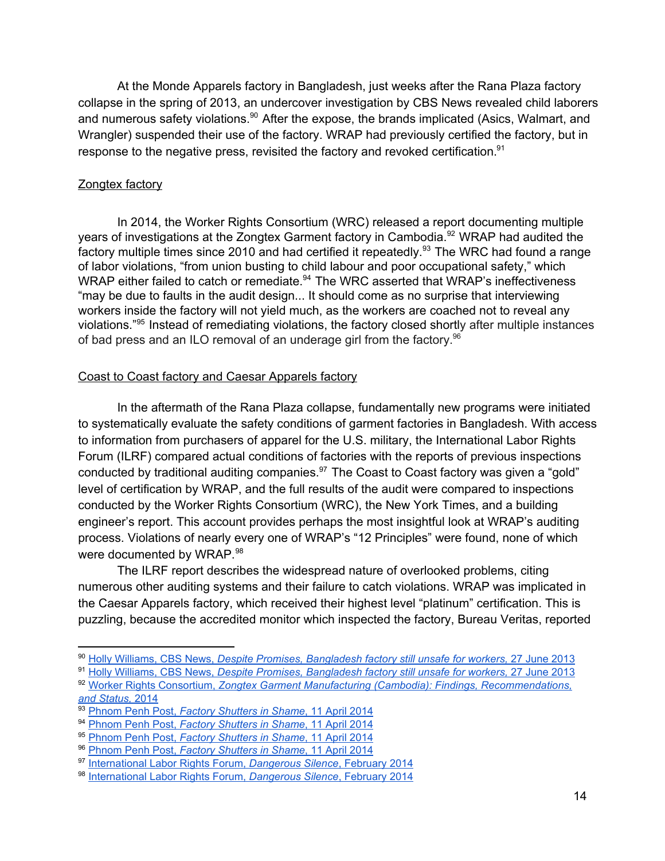At the Monde Apparels factory in Bangladesh, just weeks after the Rana Plaza factory collapse in the spring of 2013, an undercover investigation by CBS News revealed child laborers and numerous safety violations.<sup>90</sup> After the expose, the brands implicated (Asics, Walmart, and Wrangler) suspended their use of the factory. WRAP had previously certified the factory, but in response to the negative press, revisited the factory and revoked certification.<sup>91</sup>

#### Zongtex factory

In 2014, the Worker Rights Consortium (WRC) released a report documenting multiple years of investigations at the Zongtex Garment factory in Cambodia.<sup>92</sup> WRAP had audited the factory multiple times since 2010 and had certified it repeatedly.<sup>93</sup> The WRC had found a range of labor violations, "from union busting to child labour and poor occupational safety," which WRAP either failed to catch or remediate. $94$  The WRC asserted that WRAP's ineffectiveness "may be due to faults in the audit design... It should come as no surprise that interviewing workers inside the factory will not yield much, as the workers are coached not to reveal any violations."<sup>95</sup> Instead of remediating violations, the factory closed shortly after multiple instances of bad press and an ILO removal of an underage girl from the factory.<sup>96</sup>

### Coast to Coast factory and Caesar Apparels factory

In the aftermath of the Rana Plaza collapse, fundamentally new programs were initiated to systematically evaluate the safety conditions of garment factories in Bangladesh. With access to information from purchasers of apparel for the U.S. military, the International Labor Rights Forum (ILRF) compared actual conditions of factories with the reports of previous inspections conducted by traditional auditing companies. $97$  The Coast to Coast factory was given a "gold" level of certification by WRAP, and the full results of the audit were compared to inspections conducted by the Worker Rights Consortium (WRC), the New York Times, and a building engineer's report. This account provides perhaps the most insightful look at WRAP's auditing process. Violations of nearly every one of WRAP's "12 Principles" were found, none of which were documented by WRAP.<sup>98</sup>

The ILRF report describes the widespread nature of overlooked problems, citing numerous other auditing systems and their failure to catch violations. WRAP was implicated in the Caesar Apparels factory, which received their highest level "platinum" certification. This is puzzling, because the accredited monitor which inspected the factory, Bureau Veritas, reported

<sup>90</sup> Holly [Williams,](http://www.google.com/url?q=http%3A%2F%2Fwww.cbsnews.com%2Fnews%2Fdespite-promises-bangladesh-factory-still-unsafe-for-workers%2F&sa=D&sntz=1&usg=AFQjCNHfhoWVfgtuqPFy9wNQX6jOe_Fv7Q) CBS News, *Despite Promises, [Bangladesh](http://www.google.com/url?q=http%3A%2F%2Fwww.cbsnews.com%2Fnews%2Fdespite-promises-bangladesh-factory-still-unsafe-for-workers%2F&sa=D&sntz=1&usg=AFQjCNHfhoWVfgtuqPFy9wNQX6jOe_Fv7Q) factory still unsafe for workers,* 27 June [2013](http://www.google.com/url?q=http%3A%2F%2Fwww.cbsnews.com%2Fnews%2Fdespite-promises-bangladesh-factory-still-unsafe-for-workers%2F&sa=D&sntz=1&usg=AFQjCNHfhoWVfgtuqPFy9wNQX6jOe_Fv7Q)

<sup>91</sup> Holly [Williams,](http://www.google.com/url?q=http%3A%2F%2Fwww.cbsnews.com%2Fnews%2Fdespite-promises-bangladesh-factory-still-unsafe-for-workers%2F&sa=D&sntz=1&usg=AFQjCNHfhoWVfgtuqPFy9wNQX6jOe_Fv7Q) CBS News, *Despite Promises, [Bangladesh](http://www.google.com/url?q=http%3A%2F%2Fwww.cbsnews.com%2Fnews%2Fdespite-promises-bangladesh-factory-still-unsafe-for-workers%2F&sa=D&sntz=1&usg=AFQjCNHfhoWVfgtuqPFy9wNQX6jOe_Fv7Q) factory still unsafe for workers,* 27 June [2013](http://www.google.com/url?q=http%3A%2F%2Fwww.cbsnews.com%2Fnews%2Fdespite-promises-bangladesh-factory-still-unsafe-for-workers%2F&sa=D&sntz=1&usg=AFQjCNHfhoWVfgtuqPFy9wNQX6jOe_Fv7Q)

<sup>92</sup> Worker Rights [Consortium,](http://www.google.com/url?q=http%3A%2F%2Fwww.mekongmigration.org%2Fwp-content%2Fuploads%2F2013%2F12%2FWRC-Assessment-re-Zongtex-Cambodia-3-13-2014.pdf&sa=D&sntz=1&usg=AFQjCNHBYPbgTGhKSVzW8zpoXCu7Y0_FgA) *Zongtex Garment Manufacturing (Cambodia): Findings, [Recommendations,](http://www.google.com/url?q=http%3A%2F%2Fwww.mekongmigration.org%2Fwp-content%2Fuploads%2F2013%2F12%2FWRC-Assessment-re-Zongtex-Cambodia-3-13-2014.pdf&sa=D&sntz=1&usg=AFQjCNHBYPbgTGhKSVzW8zpoXCu7Y0_FgA) and [Status,](http://www.google.com/url?q=http%3A%2F%2Fwww.mekongmigration.org%2Fwp-content%2Fuploads%2F2013%2F12%2FWRC-Assessment-re-Zongtex-Cambodia-3-13-2014.pdf&sa=D&sntz=1&usg=AFQjCNHBYPbgTGhKSVzW8zpoXCu7Y0_FgA)* [2014](http://www.google.com/url?q=http%3A%2F%2Fwww.mekongmigration.org%2Fwp-content%2Fuploads%2F2013%2F12%2FWRC-Assessment-re-Zongtex-Cambodia-3-13-2014.pdf&sa=D&sntz=1&usg=AFQjCNHBYPbgTGhKSVzW8zpoXCu7Y0_FgA)

<sup>93</sup> [Phnom](http://www.google.com/url?q=http%3A%2F%2Fwww.phnompenhpost.com%2Fnational%2Ffactory-shutters-shame&sa=D&sntz=1&usg=AFQjCNEgwCTxVCrVZ74dzKTIxqcqMdkflA) Penh Post, *Factory [Shutters](http://www.google.com/url?q=http%3A%2F%2Fwww.phnompenhpost.com%2Fnational%2Ffactory-shutters-shame&sa=D&sntz=1&usg=AFQjCNEgwCTxVCrVZ74dzKTIxqcqMdkflA) in Shame*, 11 April [2014](http://www.google.com/url?q=http%3A%2F%2Fwww.phnompenhpost.com%2Fnational%2Ffactory-shutters-shame&sa=D&sntz=1&usg=AFQjCNEgwCTxVCrVZ74dzKTIxqcqMdkflA)

<sup>94</sup> [Phnom](http://www.google.com/url?q=http%3A%2F%2Fwww.phnompenhpost.com%2Fnational%2Ffactory-shutters-shame&sa=D&sntz=1&usg=AFQjCNEgwCTxVCrVZ74dzKTIxqcqMdkflA) Penh Post, *Factory [Shutters](http://www.google.com/url?q=http%3A%2F%2Fwww.phnompenhpost.com%2Fnational%2Ffactory-shutters-shame&sa=D&sntz=1&usg=AFQjCNEgwCTxVCrVZ74dzKTIxqcqMdkflA) in Shame*, 11 April [2014](http://www.google.com/url?q=http%3A%2F%2Fwww.phnompenhpost.com%2Fnational%2Ffactory-shutters-shame&sa=D&sntz=1&usg=AFQjCNEgwCTxVCrVZ74dzKTIxqcqMdkflA)

<sup>95</sup> [Phnom](http://www.google.com/url?q=http%3A%2F%2Fwww.phnompenhpost.com%2Fnational%2Ffactory-shutters-shame&sa=D&sntz=1&usg=AFQjCNEgwCTxVCrVZ74dzKTIxqcqMdkflA) Penh Post, *Factory [Shutters](http://www.google.com/url?q=http%3A%2F%2Fwww.phnompenhpost.com%2Fnational%2Ffactory-shutters-shame&sa=D&sntz=1&usg=AFQjCNEgwCTxVCrVZ74dzKTIxqcqMdkflA) in Shame*, 11 April [2014](http://www.google.com/url?q=http%3A%2F%2Fwww.phnompenhpost.com%2Fnational%2Ffactory-shutters-shame&sa=D&sntz=1&usg=AFQjCNEgwCTxVCrVZ74dzKTIxqcqMdkflA)

<sup>96</sup> [Phnom](http://www.google.com/url?q=http%3A%2F%2Fwww.phnompenhpost.com%2Fnational%2Ffactory-shutters-shame&sa=D&sntz=1&usg=AFQjCNEgwCTxVCrVZ74dzKTIxqcqMdkflA) Penh Post, *Factory [Shutters](http://www.google.com/url?q=http%3A%2F%2Fwww.phnompenhpost.com%2Fnational%2Ffactory-shutters-shame&sa=D&sntz=1&usg=AFQjCNEgwCTxVCrVZ74dzKTIxqcqMdkflA) in Shame*, 11 April [2014](http://www.google.com/url?q=http%3A%2F%2Fwww.phnompenhpost.com%2Fnational%2Ffactory-shutters-shame&sa=D&sntz=1&usg=AFQjCNEgwCTxVCrVZ74dzKTIxqcqMdkflA)

<sup>97</sup> [International](http://www.google.com/url?q=http%3A%2F%2Fwww.laborrights.org%2Fsites%2Fdefault%2Ffiles%2Fpublications%2FDangerous_Silence--Low_Resolution_for_Viewing_Online.pdf&sa=D&sntz=1&usg=AFQjCNFW6UMWOgFZSkEl_LManE5u2sqlhQ) Labor Rights Forum, *[Dangerous](http://www.google.com/url?q=http%3A%2F%2Fwww.laborrights.org%2Fsites%2Fdefault%2Ffiles%2Fpublications%2FDangerous_Silence--Low_Resolution_for_Viewing_Online.pdf&sa=D&sntz=1&usg=AFQjCNFW6UMWOgFZSkEl_LManE5u2sqlhQ) Silence*, [February](http://www.google.com/url?q=http%3A%2F%2Fwww.laborrights.org%2Fsites%2Fdefault%2Ffiles%2Fpublications%2FDangerous_Silence--Low_Resolution_for_Viewing_Online.pdf&sa=D&sntz=1&usg=AFQjCNFW6UMWOgFZSkEl_LManE5u2sqlhQ) 2014

<sup>98</sup> [International](http://www.google.com/url?q=http%3A%2F%2Fwww.laborrights.org%2Fsites%2Fdefault%2Ffiles%2Fpublications%2FDangerous_Silence--Low_Resolution_for_Viewing_Online.pdf&sa=D&sntz=1&usg=AFQjCNFW6UMWOgFZSkEl_LManE5u2sqlhQ) Labor Rights Forum, *[Dangerous](http://www.google.com/url?q=http%3A%2F%2Fwww.laborrights.org%2Fsites%2Fdefault%2Ffiles%2Fpublications%2FDangerous_Silence--Low_Resolution_for_Viewing_Online.pdf&sa=D&sntz=1&usg=AFQjCNFW6UMWOgFZSkEl_LManE5u2sqlhQ) Silence*, [February](http://www.google.com/url?q=http%3A%2F%2Fwww.laborrights.org%2Fsites%2Fdefault%2Ffiles%2Fpublications%2FDangerous_Silence--Low_Resolution_for_Viewing_Online.pdf&sa=D&sntz=1&usg=AFQjCNFW6UMWOgFZSkEl_LManE5u2sqlhQ) 2014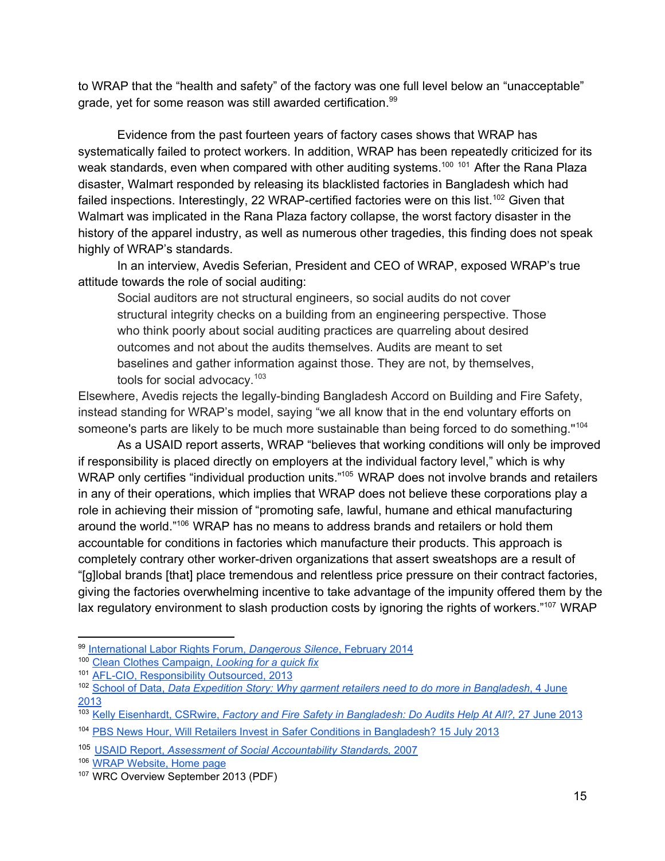to WRAP that the "health and safety" of the factory was one full level below an "unacceptable" grade, yet for some reason was still awarded certification.<sup>99</sup>

Evidence from the past fourteen years of factory cases shows that WRAP has systematically failed to protect workers. In addition, WRAP has been repeatedly criticized for its weak standards, even when compared with other auditing systems.<sup>100 101</sup> After the Rana Plaza disaster, Walmart responded by releasing its blacklisted factories in Bangladesh which had failed inspections. Interestingly, 22 WRAP-certified factories were on this list.<sup>102</sup> Given that Walmart was implicated in the Rana Plaza factory collapse, the worst factory disaster in the history of the apparel industry, as well as numerous other tragedies, this finding does not speak highly of WRAP's standards.

In an interview, Avedis Seferian, President and CEO of WRAP, exposed WRAP's true attitude towards the role of social auditing:

Social auditors are not structural engineers, so social audits do not cover structural integrity checks on a building from an engineering perspective. Those who think poorly about social auditing practices are quarreling about desired outcomes and not about the audits themselves. Audits are meant to set baselines and gather information against those. They are not, by themselves, tools for social advocacy.<sup>103</sup>

Elsewhere, Avedis rejects the legally-binding Bangladesh Accord on Building and Fire Safety, instead standing for WRAP's model, saying "we all know that in the end voluntary efforts on someone's parts are likely to be much more sustainable than being forced to do something."<sup>104</sup>

As a USAID report asserts, WRAP "believes that working conditions will only be improved if responsibility is placed directly on employers at the individual factory level," which is why WRAP only certifies "individual production units."<sup>105</sup> WRAP does not involve brands and retailers in any of their operations, which implies that WRAP does not believe these corporations play a role in achieving their mission of "promoting safe, lawful, humane and ethical manufacturing around the world." <sup>106</sup> WRAP has no means to address brands and retailers or hold them accountable for conditions in factories which manufacture their products. This approach is completely contrary other worker-driven organizations that assert sweatshops are a result of "[g]lobal brands [that] place tremendous and relentless price pressure on their contract factories, giving the factories overwhelming incentive to take advantage of the impunity offered them by the lax regulatory environment to slash production costs by ignoring the rights of workers."<sup>107</sup> WRAP

<sup>99</sup> [International](http://www.google.com/url?q=http%3A%2F%2Fwww.laborrights.org%2Fsites%2Fdefault%2Ffiles%2Fpublications%2FDangerous_Silence--Low_Resolution_for_Viewing_Online.pdf&sa=D&sntz=1&usg=AFQjCNFW6UMWOgFZSkEl_LManE5u2sqlhQ) Labor Rights Forum, *[Dangerous](http://www.google.com/url?q=http%3A%2F%2Fwww.laborrights.org%2Fsites%2Fdefault%2Ffiles%2Fpublications%2FDangerous_Silence--Low_Resolution_for_Viewing_Online.pdf&sa=D&sntz=1&usg=AFQjCNFW6UMWOgFZSkEl_LManE5u2sqlhQ) Silence*, [February](http://www.google.com/url?q=http%3A%2F%2Fwww.laborrights.org%2Fsites%2Fdefault%2Ffiles%2Fpublications%2FDangerous_Silence--Low_Resolution_for_Viewing_Online.pdf&sa=D&sntz=1&usg=AFQjCNFW6UMWOgFZSkEl_LManE5u2sqlhQ) 2014

<sup>100</sup> Clean Clothes [Campaign,](http://www.google.com/url?q=http%3A%2F%2Fwww.cleanclothes.org%2Fresources%2Fpublications%2F05-quick-fix.pdf&sa=D&sntz=1&usg=AFQjCNGF5ZpLfC0gWoYdEPJqeJbLHUlEPA) *[Looking](http://www.google.com/url?q=http%3A%2F%2Fwww.cleanclothes.org%2Fresources%2Fpublications%2F05-quick-fix.pdf&sa=D&sntz=1&usg=AFQjCNGF5ZpLfC0gWoYdEPJqeJbLHUlEPA) for a quick fix*

<sup>101</sup> AFL-CIO, [Responsibility](http://www.google.com/url?q=http%3A%2F%2Fwww.aflcio.org%2Fcontent%2Fdownload%2F77061%2F1902391%2FCSReport.pdf&sa=D&sntz=1&usg=AFQjCNFlfCjmajYtbyI6Qqm7H-YVDHalhA) Outsourced, 2013

<sup>102</sup> [School](http://www.google.com/url?q=http%3A%2F%2Fschoolofdata.org%2F2013%2F06%2F04%2Fdata-expedition-story-why-garment-retailers-need-to-do-more-in-bangladesh%2F&sa=D&sntz=1&usg=AFQjCNGOI08Qvfr4XqEeLNpeewwP2-RS_Q) of Data, *Data Expedition Story: Why garment retailers need to do more in [Bangladesh](http://www.google.com/url?q=http%3A%2F%2Fschoolofdata.org%2F2013%2F06%2F04%2Fdata-expedition-story-why-garment-retailers-need-to-do-more-in-bangladesh%2F&sa=D&sntz=1&usg=AFQjCNGOI08Qvfr4XqEeLNpeewwP2-RS_Q)*, 4 [June](http://www.google.com/url?q=http%3A%2F%2Fschoolofdata.org%2F2013%2F06%2F04%2Fdata-expedition-story-why-garment-retailers-need-to-do-more-in-bangladesh%2F&sa=D&sntz=1&usg=AFQjCNGOI08Qvfr4XqEeLNpeewwP2-RS_Q) [2013](http://www.google.com/url?q=http%3A%2F%2Fschoolofdata.org%2F2013%2F06%2F04%2Fdata-expedition-story-why-garment-retailers-need-to-do-more-in-bangladesh%2F&sa=D&sntz=1&usg=AFQjCNGOI08Qvfr4XqEeLNpeewwP2-RS_Q)

<sup>103</sup> Kelly [Eisenhardt,](http://www.google.com/url?q=http%3A%2F%2Fwww.csrwire.com%2Fblog%2Fposts%2F909-factory-and-fire-safety-in-bangladesh-do-audits-help-at-all&sa=D&sntz=1&usg=AFQjCNHcGlgPpkuRBT-Z2lu0D3PBJVg6KQ) CSRwire, *Factory and Fire Safety in [Bangladesh:](http://www.google.com/url?q=http%3A%2F%2Fwww.csrwire.com%2Fblog%2Fposts%2F909-factory-and-fire-safety-in-bangladesh-do-audits-help-at-all&sa=D&sntz=1&usg=AFQjCNHcGlgPpkuRBT-Z2lu0D3PBJVg6KQ) Do Audits Help At All?,* 27 June [2013](http://www.google.com/url?q=http%3A%2F%2Fwww.csrwire.com%2Fblog%2Fposts%2F909-factory-and-fire-safety-in-bangladesh-do-audits-help-at-all&sa=D&sntz=1&usg=AFQjCNHcGlgPpkuRBT-Z2lu0D3PBJVg6KQ)

<sup>104</sup> PBS News Hour, Will Retailers Invest in Safer Conditions in [Bangladesh?](https://www.youtube.com/watch?v=ukcRfrEIYQo) 15 July 2013

<sup>105</sup> USAID [Report,](http://www.google.com/url?q=http%3A%2F%2Fpdf.usaid.gov%2Fpdf_docs%2FPNADP612.pdf&sa=D&sntz=1&usg=AFQjCNHwBA5RdZlQK9gh6j-xiZhW_7-ZAA) *Assessment of Social [Accountability](http://www.google.com/url?q=http%3A%2F%2Fpdf.usaid.gov%2Fpdf_docs%2FPNADP612.pdf&sa=D&sntz=1&usg=AFQjCNHwBA5RdZlQK9gh6j-xiZhW_7-ZAA) Standards,* [2007](http://www.google.com/url?q=http%3A%2F%2Fpdf.usaid.gov%2Fpdf_docs%2FPNADP612.pdf&sa=D&sntz=1&usg=AFQjCNHwBA5RdZlQK9gh6j-xiZhW_7-ZAA)

<sup>106</sup> WRAP [Website,](http://www.google.com/url?q=http%3A%2F%2Fwww.wrapcompliance.org&sa=D&sntz=1&usg=AFQjCNExt_-FbsgllG0GmxGUZKhGDOQ7ow) Home page

<sup>107</sup> WRC Overview September 2013 (PDF)